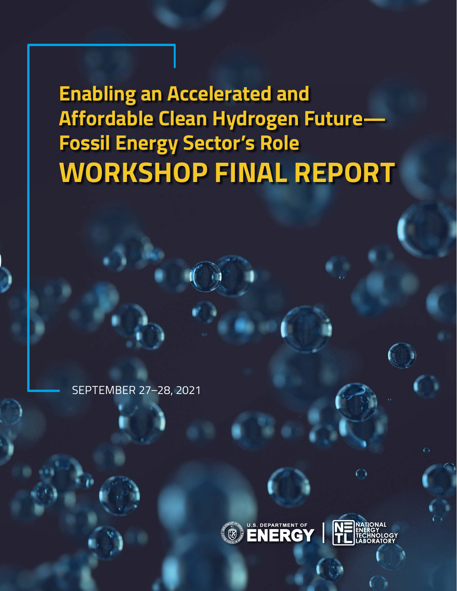# **Enabling an Accelerated and Affordable Clean Hydrogen Future— Fossil Energy Sector's Role WORKSHOP FINAL REPORT**

SEPTEMBER 27–28, 2021





 $\bigcap$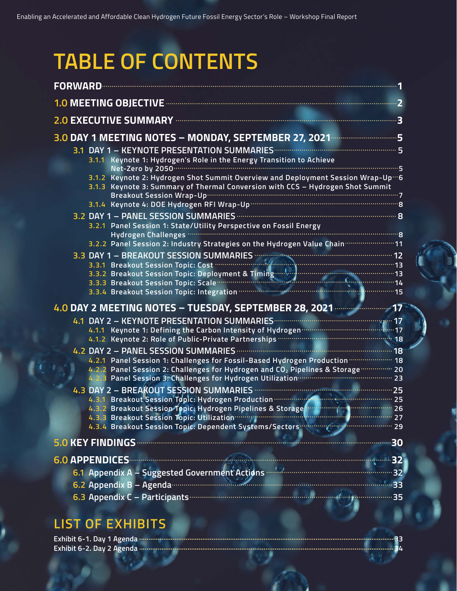# **TABLE OF CONTENTS**

| 3.1.1 Keynote 1: Hydrogen's Role in the Energy Transition to Achieve<br>3.1.2 Keynote 2: Hydrogen Shot Summit Overview and Deployment Session Wrap-Up - 6<br>3.1.3 Keynote 3: Summary of Thermal Conversion with CCS - Hydrogen Shot Summit<br>3.2.1 Panel Session 1: State/Utility Perspective on Fossil Energy<br>3.2.2 Panel Session 2: Industry Strategies on the Hydrogen Value Chain  11<br>3.3.1 Breakout Session Topic: Cost<br>3.3.2 Breakout Session Topic: Deployment & Timing<br>3.3.3 Breakout Session Topic: Scale<br>3.3.4 Breakout Session Topic: Integration |  |
|-------------------------------------------------------------------------------------------------------------------------------------------------------------------------------------------------------------------------------------------------------------------------------------------------------------------------------------------------------------------------------------------------------------------------------------------------------------------------------------------------------------------------------------------------------------------------------|--|
|                                                                                                                                                                                                                                                                                                                                                                                                                                                                                                                                                                               |  |
| 4.1.2 Keynote 2: Role of Public-Private Partnerships <b>manufally contained</b> 18<br>4.2.1 Panel Session 1: Challenges for Fossil-Based Hydrogen Production  18<br>4.2.2 Panel Session 2: Challenges for Hydrogen and CO <sub>2</sub> Pipelines & Storage  20<br>4.2.3 Panel Session 3: Challenges for Hydrogen Utilization <b>Communist Constitution</b> 23                                                                                                                                                                                                                 |  |
|                                                                                                                                                                                                                                                                                                                                                                                                                                                                                                                                                                               |  |
| 6.0 APPENDICES 32<br>6.2 Appendix B - Agenda <b>contract and a contract and a set of the set of the set of the set of the set of the set of the set of the set of the set of the set of the set of the set of the set of the set of the set of the se</b>                                                                                                                                                                                                                                                                                                                     |  |

# **LIST OF EXHIBITS**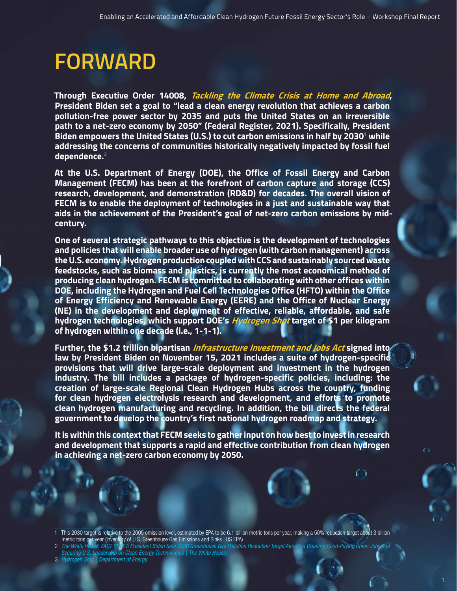# <span id="page-2-0"></span>**FORWARD**

**Through Executive Order 14008, Tackling the Climate Crisis at Home and Abroad, President Biden set a goal to "lead a clean energy revolution that achieves a carbon pollution-free power sector by 2035 and puts the United States on an irreversible path to a net-zero economy by 2050" (Federal Register, 2021). Specifically, President Biden empowers the United States (U.S.) to cut carbon emissions in half by 2030<sup>1</sup> while addressing the concerns of communities historically negatively impacted by fossil fuel dependence.<sup>2</sup>**

**At the U.S. Department of Energy (DOE), the Office of Fossil Energy and Carbon Management (FECM) has been at the forefront of carbon capture and storage (CCS) research, development, and demonstration (RD&D) for decades. The overall vision of FECM is to enable the deployment of technologies in a just and sustainable way that aids in the achievement of the President's goal of net-zero carbon emissions by midcentury.**

**One of several strategic pathways to this objective is the development of technologies and policies that will enable broader use of hydrogen (with carbon management) across the U.S. economy. Hydrogen production coupled with CCS and sustainably sourced waste**  feedstocks, such as biomass and plastics, is currently the most economical method of **producing clean hydrogen. FECM is committed to collaborating with other offices within DOE, including the Hydrogen and Fuel Cell Technologies Office (HFTO) within the Office of Energy Efficiency and Renewable Energy (EERE) and the Office of Nuclear Energy (NE) in the development and deployment of effective, reliable, affordable, and safe hydrogen technologies, which support DOE's Hydrogen Shot target of \$1 per kilogram of hydrogen within one decade (i.e., 1-1-1).<sup>3</sup>**

**Further, the \$1.2 trillion bipartisan Infrastructure Investment and Jobs Act signed into law by President Biden on November 15, 2021 includes a suite of hydrogen-specific provisions that will drive large-scale deployment and investment in the hydrogen industry. The bill includes a package of hydrogen-specific policies, including: the creation of large-scale Regional Clean Hydrogen Hubs across the country, funding for clean hydrogen electrolysis research and development, and efforts to promote clean hydrogen manufacturing and recycling. In addition, the bill directs the federal government to develop the country's first national hydrogen roadmap and strategy.**

**It is within this context that FECM seeks to gather input on how best to invest in research and development that supports a rapid and effective contribution from clean hydrogen in achieving a net-zero carbon economy by 2050.**

- 1 This 2030 target is relative to the 2005 emission level, estimated by EPA to be 6.1 billion metric tons per year, making a 50% reduction target about 3 billion metric tons per year (Inventory of U.S. Greenhouse Gas Emissions and Sinks | US EPA)
- 2 *[The White House, FACT SHEET: President Biden Sets 2030 Greenhouse Gas Pollution Reduction Target Aimed at Creating Good-Paying Union Jobs and](https://www.whitehouse.gov/briefing-room/statements-releases/2021/04/22/fact-sheet-president-biden-sets-2030-greenhouse-gas-pollution-reduction-target-aimed-at-creating-good-paying-union-jobs-and-securing-u-s-leadership-on-clean-energy-technologies/)  [Securing U.S. Leadership on Clean Energy Technologies | The White House.](https://www.whitehouse.gov/briefing-room/statements-releases/2021/04/22/fact-sheet-president-biden-sets-2030-greenhouse-gas-pollution-reduction-target-aimed-at-creating-good-paying-union-jobs-and-securing-u-s-leadership-on-clean-energy-technologies/)*
- 3 *[Hydrogen Shot | Department of Energy.](https://www.energy.gov/eere/fuelcells/hydrogen-shot)*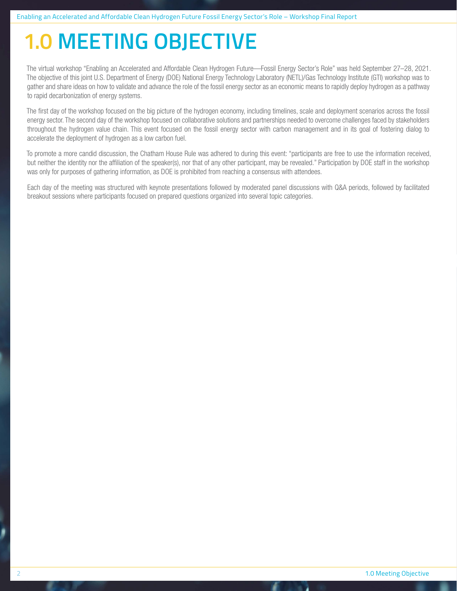# <span id="page-3-0"></span>**1.0 MEETING OBJECTIVE**

The virtual workshop "Enabling an Accelerated and Affordable Clean Hydrogen Future—Fossil Energy Sector's Role" was held September 27–28, 2021. The objective of this joint U.S. Department of Energy (DOE) National Energy Technology Laboratory (NETL)/Gas Technology Institute (GTI) workshop was to gather and share ideas on how to validate and advance the role of the fossil energy sector as an economic means to rapidly deploy hydrogen as a pathway to rapid decarbonization of energy systems.

The first day of the workshop focused on the big picture of the hydrogen economy, including timelines, scale and deployment scenarios across the fossil energy sector. The second day of the workshop focused on collaborative solutions and partnerships needed to overcome challenges faced by stakeholders throughout the hydrogen value chain. This event focused on the fossil energy sector with carbon management and in its goal of fostering dialog to accelerate the deployment of hydrogen as a low carbon fuel.

To promote a more candid discussion, the Chatham House Rule was adhered to during this event: "participants are free to use the information received, but neither the identity nor the affiliation of the speaker(s), nor that of any other participant, may be revealed." Participation by DOE staff in the workshop was only for purposes of gathering information, as DOE is prohibited from reaching a consensus with attendees.

Each day of the meeting was structured with keynote presentations followed by moderated panel discussions with Q&A periods, followed by facilitated breakout sessions where participants focused on prepared questions organized into several topic categories.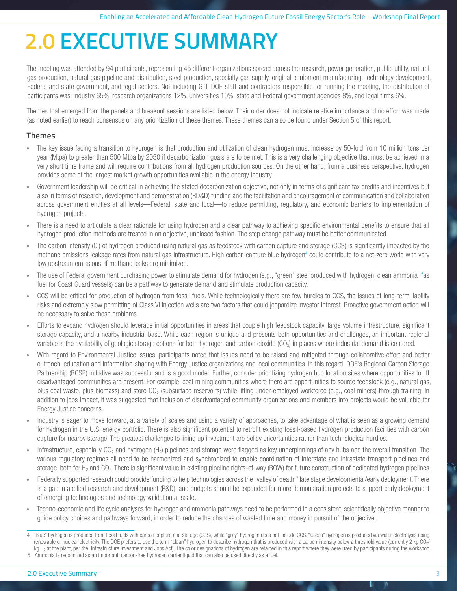# <span id="page-4-0"></span>**2.0 EXECUTIVE SUMMARY**

The meeting was attended by 94 participants, representing 45 different organizations spread across the research, power generation, public utility, natural gas production, natural gas pipeline and distribution, steel production, specialty gas supply, original equipment manufacturing, technology development, Federal and state government, and legal sectors. Not including GTI, DOE staff and contractors responsible for running the meeting, the distribution of participants was: industry 65%, research organizations 12%, universities 10%, state and Federal government agencies 8%, and legal firms 6%.

Themes that emerged from the panels and breakout sessions are listed below. Their order does not indicate relative importance and no effort was made (as noted earlier) to reach consensus on any prioritization of these themes. These themes can also be found under Section 5 of this report.

## **Themes**

- The key issue facing a transition to hydrogen is that production and utilization of clean hydrogen must increase by 50-fold from 10 million tons per year (Mtpa) to greater than 500 Mtpa by 2050 if decarbonization goals are to be met. This is a very challenging objective that must be achieved in a very short time frame and will require contributions from all hydrogen production sources. On the other hand, from a business perspective, hydrogen provides some of the largest market growth opportunities available in the energy industry.
- Government leadership will be critical in achieving the stated decarbonization objective, not only in terms of significant tax credits and incentives but also in terms of research, development and demonstration (RD&D) funding and the facilitation and encouragement of communication and collaboration across government entities at all levels—Federal, state and local—to reduce permitting, regulatory, and economic barriers to implementation of hydrogen projects.
- There is a need to articulate a clear rationale for using hydrogen and a clear pathway to achieving specific environmental benefits to ensure that all hydrogen production methods are treated in an objective, unbiased fashion. The step change pathway must be better communicated.
- The carbon intensity (CI) of hydrogen produced using natural gas as feedstock with carbon capture and storage (CCS) is significantly impacted by the methane emissions leakage rates from natural gas infrastructure. High carbon capture blue hydrogen<sup>4</sup> could contribute to a net-zero world with very low upstream emissions, if methane leaks are minimized.
- The use of Federal government purchasing power to stimulate demand for hydrogen (e.g., "green" steel produced with hydrogen, clean ammonia <sup>5</sup>as fuel for Coast Guard vessels) can be a pathway to generate demand and stimulate production capacity.
- CCS will be critical for production of hydrogen from fossil fuels. While technologically there are few hurdles to CCS, the issues of long-term liability risks and extremely slow permitting of Class VI injection wells are two factors that could jeopardize investor interest. Proactive government action will be necessary to solve these problems.
- Efforts to expand hydrogen should leverage initial opportunities in areas that couple high feedstock capacity, large volume infrastructure, significant storage capacity, and a nearby industrial base. While each region is unique and presents both opportunities and challenges, an important regional variable is the availability of geologic storage options for both hydrogen and carbon dioxide  $(CO<sub>2</sub>)$  in places where industrial demand is centered.
- With regard to Environmental Justice issues, participants noted that issues need to be raised and mitigated through collaborative effort and better outreach, education and information-sharing with Energy Justice organizations and local communities. In this regard, DOE's Regional Carbon Storage Partnership (RCSP) initiative was successful and is a good model. Further, consider prioritizing hydrogen hub location sites where opportunities to lift disadvantaged communities are present. For example, coal mining communities where there are opportunities to source feedstock (e.g., natural gas, plus coal waste, plus biomass) and store CO<sub>2</sub> (subsurface reservoirs) while lifting under-employed workforce (e.g., coal miners) through training. In addition to jobs impact, it was suggested that inclusion of disadvantaged community organizations and members into projects would be valuable for Energy Justice concerns.
- Industry is eager to move forward, at a variety of scales and using a variety of approaches, to take advantage of what is seen as a growing demand for hydrogen in the U.S. energy portfolio. There is also significant potential to retrofit existing fossil-based hydrogen production facilities with carbon capture for nearby storage. The greatest challenges to lining up investment are policy uncertainties rather than technological hurdles.
- Infrastructure, especially CO<sub>2</sub> and hydrogen (H<sub>2</sub>) pipelines and storage were flagged as key underpinnings of any hubs and the overall transition. The various regulatory regimes all need to be harmonized and synchronized to enable coordination of interstate and intrastate transport pipelines and storage, both for H<sub>2</sub> and CO<sub>2</sub>. There is significant value in existing pipeline rights-of-way (ROW) for future construction of dedicated hydrogen pipelines.
- Federally supported research could provide funding to help technologies across the "valley of death;" late stage developmental/early deployment. There is a gap in applied research and development (R&D), and budgets should be expanded for more demonstration projects to support early deployment of emerging technologies and technology validation at scale.
- Techno-economic and life cycle analyses for hydrogen and ammonia pathways need to be performed in a consistent, scientifically objective manner to guide policy choices and pathways forward, in order to reduce the chances of wasted time and money in pursuit of the objective.

<sup>4 &</sup>quot;Blue" hydrogen is produced from fossil fuels with carbon capture and storage (CCS), while "gray" hydrogen does not include CCS. "Green" hydrogen is produced via water electrolysis using renewable or nuclear electricity. The DOE prefers to use the term "clean" hydrogen to describe hydrogen that is produced with a carbon intensity below a threshold value (currently 2 kg CO<sub>2</sub>/ kg H<sub>2</sub> at the plant, per the Infrastructure Investment and Jobs Act). The color designations of hydrogen are retained in this report where they were used by participants during the workshop.

<sup>5</sup> Ammonia is recognized as an important, carbon-free hydrogen carrier liquid that can also be used directly as a fuel.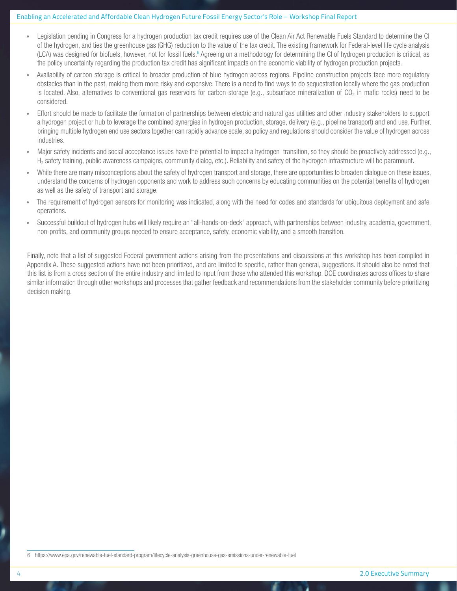#### Enabling an Accelerated and Affordable Clean Hydrogen Future Fossil Energy Sector's Role – Workshop Final Report

- Legislation pending in Congress for a hydrogen production tax credit requires use of the Clean Air Act Renewable Fuels Standard to determine the CI of the hydrogen, and ties the greenhouse gas (GHG) reduction to the value of the tax credit. The existing framework for Federal-level life cycle analysis (LCA) was designed for biofuels, however, not for fossil fuels.<sup>6</sup> Agreeing on a methodology for determining the CI of hydrogen production is critical, as the policy uncertainty regarding the production tax credit has significant impacts on the economic viability of hydrogen production projects.
- Availability of carbon storage is critical to broader production of blue hydrogen across regions. Pipeline construction projects face more regulatory obstacles than in the past, making them more risky and expensive. There is a need to find ways to do sequestration locally where the gas production is located. Also, alternatives to conventional gas reservoirs for carbon storage (e.g., subsurface mineralization of  $CO<sub>2</sub>$  in mafic rocks) need to be considered.
- Effort should be made to facilitate the formation of partnerships between electric and natural gas utilities and other industry stakeholders to support a hydrogen project or hub to leverage the combined synergies in hydrogen production, storage, delivery (e.g., pipeline transport) and end use. Further, bringing multiple hydrogen end use sectors together can rapidly advance scale, so policy and regulations should consider the value of hydrogen across industries.
- Major safety incidents and social acceptance issues have the potential to impact a hydrogen transition, so they should be proactively addressed (e.g., H2 safety training, public awareness campaigns, community dialog, etc.). Reliability and safety of the hydrogen infrastructure will be paramount.
- While there are many misconceptions about the safety of hydrogen transport and storage, there are opportunities to broaden dialogue on these issues, understand the concerns of hydrogen opponents and work to address such concerns by educating communities on the potential benefits of hydrogen as well as the safety of transport and storage.
- The requirement of hydrogen sensors for monitoring was indicated, along with the need for codes and standards for ubiquitous deployment and safe operations.
- Successful buildout of hydrogen hubs will likely require an "all-hands-on-deck" approach, with partnerships between industry, academia, government, non-profits, and community groups needed to ensure acceptance, safety, economic viability, and a smooth transition.

Finally, note that a list of suggested Federal government actions arising from the presentations and discussions at this workshop has been compiled in Appendix A. These suggested actions have not been prioritized, and are limited to specific, rather than general, suggestions, It should also be noted that this list is from a cross section of the entire industry and limited to input from those who attended this workshop. DOE coordinates across offices to share similar information through other workshops and processes that gather feedback and recommendations from the stakeholder community before prioritizing decision making.

6 https://www.epa.gov/renewable-fuel-standard-program/lifecycle-analysis-greenhouse-gas-emissions-under-renewable-fuel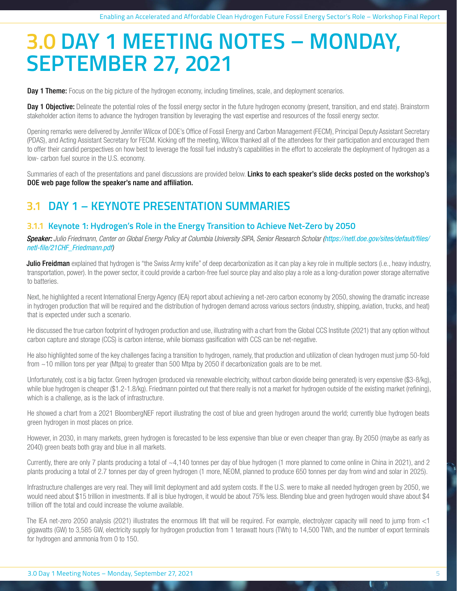# <span id="page-6-0"></span>**3.0 DAY 1 MEETING NOTES – MONDAY, SEPTEMBER 27, 2021**

Day 1 Theme: Focus on the big picture of the hydrogen economy, including timelines, scale, and deployment scenarios.

Day 1 Objective: Delineate the potential roles of the fossil energy sector in the future hydrogen economy (present, transition, and end state). Brainstorm stakeholder action items to advance the hydrogen transition by leveraging the vast expertise and resources of the fossil energy sector.

Opening remarks were delivered by Jennifer Wilcox of DOE's Office of Fossil Energy and Carbon Management (FECM), Principal Deputy Assistant Secretary (PDAS), and Acting Assistant Secretary for FECM. Kicking off the meeting, Wilcox thanked all of the attendees for their participation and encouraged them to offer their candid perspectives on how best to leverage the fossil fuel industry's capabilities in the effort to accelerate the deployment of hydrogen as a low- carbon fuel source in the U.S. economy.

Summaries of each of the presentations and panel discussions are provided below. Links to each speaker's slide decks posted on the workshop's DOE web page follow the speaker's name and affiliation.

## **3.1 DAY 1 – KEYNOTE PRESENTATION SUMMARIES**

## **3.1.1 Keynote 1: Hydrogen's Role in the Energy Transition to Achieve Net-Zero by 2050**

*Speaker: Julio Friedmann, Center on Global Energy Policy at Columbia University SIPA, Senior Research Scholar [\(https://netl.doe.gov/sites/default/files/](https://netl.doe.gov/sites/default/files/netl-file/21CHF_Friedmann.pdf) [netl-file/21CHF\\_Friedmann.pdf](https://netl.doe.gov/sites/default/files/netl-file/21CHF_Friedmann.pdf))*

Julio Freidman explained that hydrogen is "the Swiss Army knife" of deep decarbonization as it can play a key role in multiple sectors (i.e., heavy industry, transportation, power). In the power sector, it could provide a carbon-free fuel source play and also play a role as a long-duration power storage alternative to batteries.

Next, he highlighted a recent International Energy Agency (IEA) report about achieving a net-zero carbon economy by 2050, showing the dramatic increase in hydrogen production that will be required and the distribution of hydrogen demand across various sectors (industry, shipping, aviation, trucks, and heat) that is expected under such a scenario.

He discussed the true carbon footprint of hydrogen production and use, illustrating with a chart from the Global CCS Institute (2021) that any option without carbon capture and storage (CCS) is carbon intense, while biomass gasification with CCS can be net-negative.

He also highlighted some of the key challenges facing a transition to hydrogen, namely, that production and utilization of clean hydrogen must jump 50-fold from ~10 million tons per year (Mtpa) to greater than 500 Mtpa by 2050 if decarbonization goals are to be met.

Unfortunately, cost is a big factor. Green hydrogen (produced via renewable electricity, without carbon dioxide being generated) is very expensive (\$3-8/kg), while blue hydrogen is cheaper (\$1.2-1.8/kg). Friedmann pointed out that there really is not a market for hydrogen outside of the existing market (refining), which is a challenge, as is the lack of infrastructure.

He showed a chart from a 2021 BloombergNEF report illustrating the cost of blue and green hydrogen around the world; currently blue hydrogen beats green hydrogen in most places on price.

However, in 2030, in many markets, green hydrogen is forecasted to be less expensive than blue or even cheaper than gray. By 2050 (maybe as early as 2040) green beats both gray and blue in all markets.

Currently, there are only 7 plants producing a total of  $\sim$ 4,140 tonnes per day of blue hydrogen (1 more planned to come online in China in 2021), and 2 plants producing a total of 2.7 tonnes per day of green hydrogen (1 more, NEOM, planned to produce 650 tonnes per day from wind and solar in 2025).

Infrastructure challenges are very real. They will limit deployment and add system costs. If the U.S. were to make all needed hydrogen green by 2050, we would need about \$15 trillion in investments. If all is blue hydrogen, it would be about 75% less. Blending blue and green hydrogen would shave about \$4 trillion off the total and could increase the volume available.

The IEA net-zero 2050 analysis (2021) illustrates the enormous lift that will be required. For example, electrolyzer capacity will need to jump from <1 gigawatts (GW) to 3,585 GW, electricity supply for hydrogen production from 1 terawatt hours (TWh) to 14,500 TWh, and the number of export terminals for hydrogen and ammonia from 0 to 150.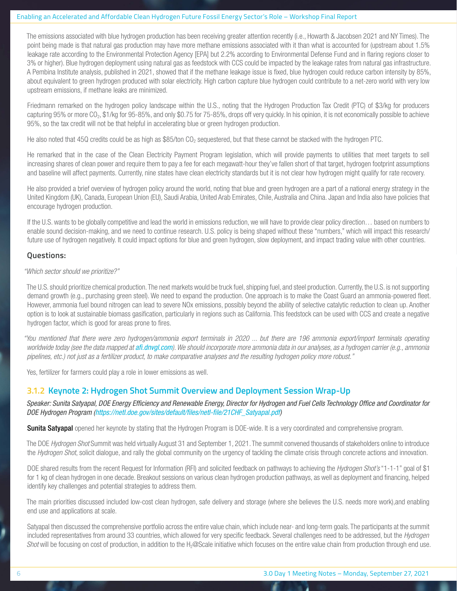<span id="page-7-0"></span>The emissions associated with blue hydrogen production has been receiving greater attention recently (i.e., Howarth & Jacobsen 2021 and NY Times). The point being made is that natural gas production may have more methane emissions associated with it than what is accounted for (upstream about 1.5% leakage rate according to the Environmental Protection Agency [EPA] but 2.2% according to Environmental Defense Fund and in flaring regions closer to 3% or higher). Blue hydrogen deployment using natural gas as feedstock with CCS could be impacted by the leakage rates from natural gas infrastructure. A Pembina Institute analysis, published in 2021, showed that if the methane leakage issue is fixed, blue hydrogen could reduce carbon intensity by 85%, about equivalent to green hydrogen produced with solar electricity. High carbon capture blue hydrogen could contribute to a net-zero world with very low upstream emissions, if methane leaks are minimized.

Friedmann remarked on the hydrogen policy landscape within the U.S., noting that the Hydrogen Production Tax Credit (PTC) of \$3/kg for producers capturing 95% or more CO<sub>2</sub>, \$1/kg for 95-85%, and only \$0.75 for 75-85%, drops off very quickly. In his opinion, it is not economically possible to achieve 95%, so the tax credit will not be that helpful in accelerating blue or green hydrogen production.

He also noted that 45Q credits could be as high as \$85/ton  $CO<sub>2</sub>$  sequestered, but that these cannot be stacked with the hydrogen PTC.

He remarked that in the case of the Clean Electricity Payment Program legislation, which will provide payments to utilities that meet targets to sell increasing shares of clean power and require them to pay a fee for each megawatt-hour they've fallen short of that target, hydrogen footprint assumptions and baseline will affect payments. Currently, nine states have clean electricity standards but it is not clear how hydrogen might qualify for rate recovery.

He also provided a brief overview of hydrogen policy around the world, noting that blue and green hydrogen are a part of a national energy strategy in the United Kingdom (UK), Canada, European Union (EU), Saudi Arabia, United Arab Emirates, Chile, Australia and China. Japan and India also have policies that encourage hydrogen production.

If the U.S. wants to be globally competitive and lead the world in emissions reduction, we will have to provide clear policy direction… based on numbers to enable sound decision-making, and we need to continue research. U.S. policy is being shaped without these "numbers," which will impact this research/ future use of hydrogen negatively. It could impact options for blue and green hydrogen, slow deployment, and impact trading value with other countries.

### **Questions:**

#### *"Which sector should we prioritize?"*

The U.S. should prioritize chemical production. The next markets would be truck fuel, shipping fuel, and steel production. Currently, the U.S. is not supporting demand growth (e.g., purchasing green steel). We need to expand the production. One approach is to make the Coast Guard an ammonia-powered fleet. However, ammonia fuel bound nitrogen can lead to severe NOx emissions, possibly beyond the ability of selective catalytic reduction to clean up. Another option is to look at sustainable biomass gasification, particularly in regions such as California. This feedstock can be used with CCS and create a negative hydrogen factor, which is good for areas prone to fires.

*"You mentioned that there were zero hydrogen/ammonia export terminals in 2020 ... but there are 196 ammonia export/import terminals operating worldwide today (see the data mapped at [afi.dnvgl.com](http://afi.dnvgl.com)). We should incorporate more ammonia data in our analyses, as a hydrogen carrier (e.g., ammonia pipelines, etc.) not just as a fertilizer product, to make comparative analyses and the resulting hydrogen policy more robust."*

Yes, fertilizer for farmers could play a role in lower emissions as well.

## **3.1.2 Keynote 2: Hydrogen Shot Summit Overview and Deployment Session Wrap-Up**

*Speaker: Sunita Satyapal, DOE Energy Efficiency and Renewable Energy, Director for Hydrogen and Fuel Cells Technology Office and Coordinator for DOE Hydrogen Program ([https://netl.doe.gov/sites/default/files/netl-file/21CHF\\_Satyapal.pdf](https://netl.doe.gov/sites/default/files/netl-file/21CHF_Satyapal.pdf))*

Sunita Satyapal opened her keynote by stating that the Hydrogen Program is DOE-wide. It is a very coordinated and comprehensive program.

The DOE *Hydrogen Shot* Summit was held virtually August 31 and September 1, 2021. The summit convened thousands of stakeholders online to introduce the *Hydrogen Shot*, solicit dialogue, and rally the global community on the urgency of tackling the climate crisis through concrete actions and innovation.

DOE shared results from the recent Request for Information (RFI) and solicited feedback on pathways to achieving the *Hydrogen Shot's* "1-1-1" goal of \$1 for 1 kg of clean hydrogen in one decade. Breakout sessions on various clean hydrogen production pathways, as well as deployment and financing, helped identify key challenges and potential strategies to address them.

The main priorities discussed included low-cost clean hydrogen, safe delivery and storage (where she believes the U.S. needs more work),and enabling end use and applications at scale.

Satyapal then discussed the comprehensive portfolio across the entire value chain, which include near- and long-term goals. The participants at the summit included representatives from around 33 countries, which allowed for very specific feedback. Several challenges need to be addressed, but the *Hydrogen Shot* will be focusing on cost of production, in addition to the H<sub>2</sub>@Scale initiative which focuses on the entire value chain from production through end use.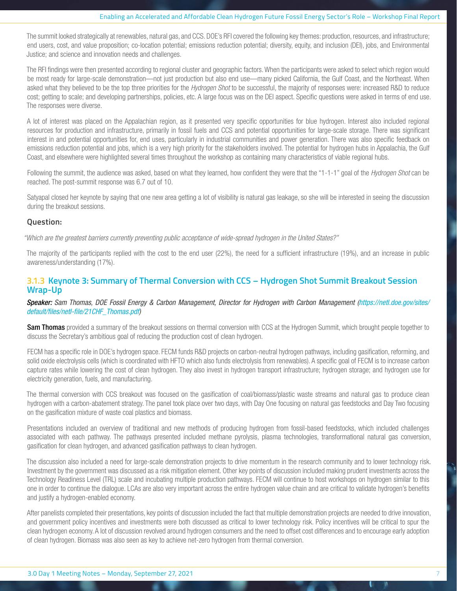<span id="page-8-0"></span>The summit looked strategically at renewables, natural gas, and CCS. DOE's RFI covered the following key themes: production, resources, and infrastructure; end users, cost, and value proposition; co-location potential; emissions reduction potential; diversity, equity, and inclusion (DEI), jobs, and Environmental Justice; and science and innovation needs and challenges.

The RFI findings were then presented according to regional cluster and geographic factors. When the participants were asked to select which region would be most ready for large-scale demonstration—not just production but also end use—many picked California, the Gulf Coast, and the Northeast. When asked what they believed to be the top three priorities for the *Hydrogen Shot* to be successful, the majority of responses were: increased R&D to reduce cost; getting to scale; and developing partnerships, policies, etc. A large focus was on the DEI aspect. Specific questions were asked in terms of end use. The responses were diverse.

A lot of interest was placed on the Appalachian region, as it presented very specific opportunities for blue hydrogen. Interest also included regional resources for production and infrastructure, primarily in fossil fuels and CCS and potential opportunities for large-scale storage. There was significant interest in and potential opportunities for, end uses, particularly in industrial communities and power generation. There was also specific feedback on emissions reduction potential and jobs, which is a very high priority for the stakeholders involved. The potential for hydrogen hubs in Appalachia, the Gulf Coast, and elsewhere were highlighted several times throughout the workshop as containing many characteristics of viable regional hubs.

Following the summit, the audience was asked, based on what they learned, how confident they were that the "1-1-1" goal of the *Hydrogen Shot* can be reached. The post-summit response was 6.7 out of 10.

Satyapal closed her keynote by saying that one new area getting a lot of visibility is natural gas leakage, so she will be interested in seeing the discussion during the breakout sessions.

### **Question:**

*"Which are the greatest barriers currently preventing public acceptance of wide-spread hydrogen in the United States?"*

The majority of the participants replied with the cost to the end user (22%), the need for a sufficient infrastructure (19%), and an increase in public awareness/understanding (17%).

### **3.1.3 Keynote 3: Summary of Thermal Conversion with CCS – Hydrogen Shot Summit Breakout Session Wrap-Up**

*Speaker: Sam Thomas, DOE Fossil Energy & Carbon Management, Director for Hydrogen with Carbon Management [\(https://netl.doe.gov/sites/](https://netl.doe.gov/sites/default/files/netl-file/21CHF_Thomas.pdf) [default/files/netl-file/21CHF\\_Thomas.pdf](https://netl.doe.gov/sites/default/files/netl-file/21CHF_Thomas.pdf))*

Sam Thomas provided a summary of the breakout sessions on thermal conversion with CCS at the Hydrogen Summit, which brought people together to discuss the Secretary's ambitious goal of reducing the production cost of clean hydrogen.

FECM has a specific role in DOE's hydrogen space. FECM funds R&D projects on carbon-neutral hydrogen pathways, including gasification, reforming, and solid oxide electrolysis cells (which is coordinated with HFTO which also funds electrolysis from renewables). A specific goal of FECM is to increase carbon capture rates while lowering the cost of clean hydrogen. They also invest in hydrogen transport infrastructure; hydrogen storage; and hydrogen use for electricity generation, fuels, and manufacturing.

The thermal conversion with CCS breakout was focused on the gasification of coal/biomass/plastic waste streams and natural gas to produce clean hydrogen with a carbon-abatement strategy. The panel took place over two days, with Day One focusing on natural gas feedstocks and Day Two focusing on the gasification mixture of waste coal plastics and biomass.

Presentations included an overview of traditional and new methods of producing hydrogen from fossil-based feedstocks, which included challenges associated with each pathway. The pathways presented included methane pyrolysis, plasma technologies, transformational natural gas conversion, gasification for clean hydrogen, and advanced gasification pathways to clean hydrogen.

The discussion also included a need for large-scale demonstration projects to drive momentum in the research community and to lower technology risk. Investment by the government was discussed as a risk mitigation element. Other key points of discussion included making prudent investments across the Technology Readiness Level (TRL) scale and incubating multiple production pathways. FECM will continue to host workshops on hydrogen similar to this one in order to continue the dialogue. LCAs are also very important across the entire hydrogen value chain and are critical to validate hydrogen's benefits and justify a hydrogen-enabled economy.

After panelists completed their presentations, key points of discussion included the fact that multiple demonstration projects are needed to drive innovation, and government policy incentives and investments were both discussed as critical to lower technology risk. Policy incentives will be critical to spur the clean hydrogen economy. A lot of discussion revolved around hydrogen consumers and the need to offset cost differences and to encourage early adoption of clean hydrogen. Biomass was also seen as key to achieve net-zero hydrogen from thermal conversion.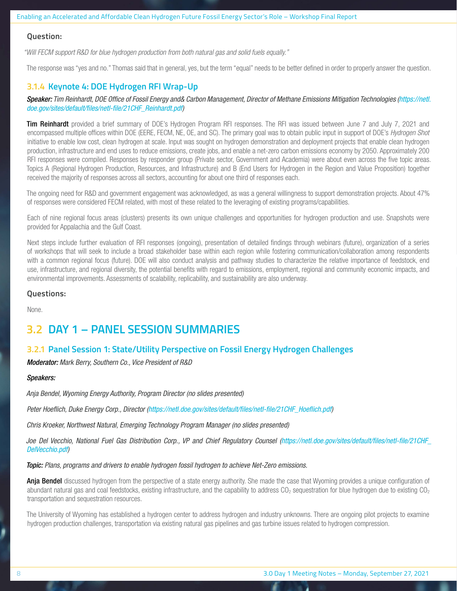### <span id="page-9-0"></span>**Question:**

*"Will FECM support R&D for blue hydrogen production from both natural gas and solid fuels equally."*

The response was "yes and no." Thomas said that in general, yes, but the term "equal" needs to be better defined in order to properly answer the question.

## **3.1.4 Keynote 4: DOE Hydrogen RFI Wrap-Up**

#### *Speaker: Tim Reinhardt, DOE Office of Fossil Energy and& Carbon Management, Director of Methane Emissions Mitigation Technologies ([https://netl.](https://netl.doe.gov/sites/default/files/netl-file/21CHF_Reinhardt.pdf) [doe.gov/sites/default/files/netl-file/21CHF\\_Reinhardt.pdf](https://netl.doe.gov/sites/default/files/netl-file/21CHF_Reinhardt.pdf))*

Tim Reinhardt provided a brief summary of DOE's Hydrogen Program RFI responses. The RFI was issued between June 7 and July 7, 2021 and encompassed multiple offices within DOE (EERE, FECM, NE, OE, and SC). The primary goal was to obtain public input in support of DOE's *Hydrogen Shot* initiative to enable low cost, clean hydrogen at scale. Input was sought on hydrogen demonstration and deployment projects that enable clean hydrogen production, infrastructure and end uses to reduce emissions, create jobs, and enable a net-zero carbon emissions economy by 2050. Approximately 200 RFI responses were compiled. Responses by responder group (Private sector, Government and Academia) were about even across the five topic areas. Topics A (Regional Hydrogen Production, Resources, and Infrastructure) and B (End Users for Hydrogen in the Region and Value Proposition) together received the majority of responses across all sectors, accounting for about one third of responses each.

The ongoing need for R&D and government engagement was acknowledged, as was a general willingness to support demonstration projects. About 47% of responses were considered FECM related, with most of these related to the leveraging of existing programs/capabilities.

Each of nine regional focus areas (clusters) presents its own unique challenges and opportunities for hydrogen production and use. Snapshots were provided for Appalachia and the Gulf Coast.

Next steps include further evaluation of RFI responses (ongoing), presentation of detailed findings through webinars (future), organization of a series of workshops that will seek to include a broad stakeholder base within each region while fostering communication/collaboration among respondents with a common regional focus (future). DOE will also conduct analysis and pathway studies to characterize the relative importance of feedstock, end use, infrastructure, and regional diversity, the potential benefits with regard to emissions, employment, regional and community economic impacts, and environmental improvements. Assessments of scalability, replicability, and sustainability are also underway.

#### **Questions:**

None.

## **3.2 DAY 1 – PANEL SESSION SUMMARIES**

### **3.2.1 Panel Session 1: State/Utility Perspective on Fossil Energy Hydrogen Challenges**

*Moderator: Mark Berry, Southern Co., Vice President of R&D*

#### *Speakers:*

*Anja Bendel, Wyoming Energy Authority, Program Director (no slides presented)*

*Peter Hoeflich, Duke Energy Corp., Director ([https://netl.doe.gov/sites/default/files/netl-file/21CHF\\_Hoeflich.pdf](https://netl.doe.gov/sites/default/files/netl-file/21CHF_Hoeflich.pdf))*

*Chris Kroeker, Northwest Natural, Emerging Technology Program Manager (no slides presented)*

Joe Del Vecchio, National Fuel Gas Distribution Corp., VP and Chief Regulatory Counsel (https://netl.doe.gov/sites/default/files/netl-file/21CHF *[DelVecchio.pdf](https://netl.doe.gov/sites/default/files/netl-file/21CHF_DelVecchio.pdf))*

#### *Topic: Plans, programs and drivers to enable hydrogen fossil hydrogen to achieve Net-Zero emissions.*

Anja Bendel discussed hydrogen from the perspective of a state energy authority. She made the case that Wyoming provides a unique configuration of abundant natural gas and coal feedstocks, existing infrastructure, and the capability to address  $CO<sub>2</sub>$  sequestration for blue hydrogen due to existing  $CO<sub>2</sub>$ transportation and sequestration resources.

The University of Wyoming has established a hydrogen center to address hydrogen and industry unknowns. There are ongoing pilot projects to examine hydrogen production challenges, transportation via existing natural gas pipelines and gas turbine issues related to hydrogen compression.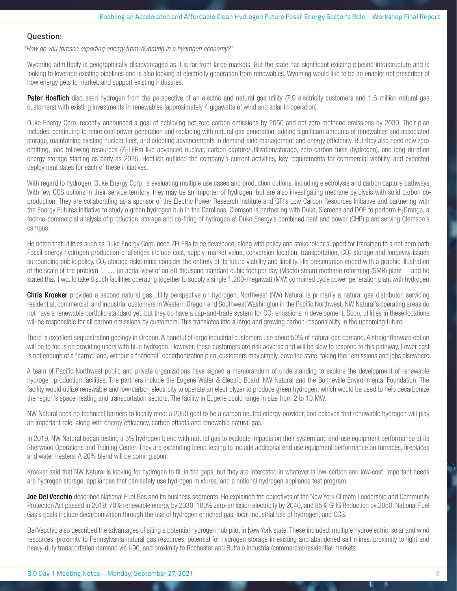## **Question:**

*"How do you foresee exporting energy from Wyoming in a hydrogen economy?"*

Wyoming admittedly is geographically disadvantaged as it is far from large markets. But the state has significant existing pipeline infrastructure and is looking to leverage existing pipelines and is also looking at electricity generation from renewables. Wyoming would like to be an enabler not prescriber of how energy gets to market, and support existing industries.

Peter Hoeflich discussed hydrogen from the perspective of an electric and natural gas utility (7.9 electricity customers and 1.6 million natural gas customers) with existing investments in renewables (approximately 4 gigawatts of wind and solar in operation).

Duke Energy Corp. recently announced a goal of achieving net-zero carbon emissions by 2050 and net-zero methane emissions by 2030. Their plan includes: continuing to retire coal power generation and replacing with natural gas generation, adding significant amounts of renewables and associated storage, maintaining existing nuclear fleet, and adopting advancements in demand-side management and energy efficiency. But they also need new zeroemitting, load-following resources (ZELFRs) like advanced nuclear, carbon capture/utilization/storage, zero-carbon fuels (hydrogen), and long duration energy storage starting as early as 2035. Hoeflich outlined the company's current activities, key requirements for commercial viability, and expected deployment dates for each of these initiatives.

With regard to hydrogen, Duke Energy Corp. is evaluating multiple use cases and production options, including electrolysis and carbon capture pathways. With few CCS options in their service territory, they may be an importer of hydrogen, but are also investigating methane pyrolysis with solid carbon coproduction. They are collaborating as a sponsor of the Electric Power Research Institute and GTI's Low Carbon Resources Initiative and partnering with the Energy Futures Initiative to study a green hydrogen hub in the Carolinas. Clemson is partnering with Duke, Siemens and DOE to perform H<sub>2</sub>Orange, a techno-commercial analysis of production, storage and co-firing of hydrogen at Duke Energy's combined heat and power (CHP) plant serving Clemson's campus.

He noted that utilities such as Duke Energy Corp. need ZELFRs to be developed, along with policy and stakeholder support for transition to a net-zero path. Fossil energy hydrogen production challenges include cost, supply, market value, conversion location, transportation, CO<sub>2</sub> storage and longevity issues surrounding public policy.  $CO<sub>2</sub>$  storage risks must consider the entirety of its future viability and liability. His presentation ended with a graphic illustration of the scale of the problem— … an aerial view of an 80 thousand standard cubic feet per day (Mscfd) steam methane reforming (SMR) plant— and he stated that it would take 8 such facilities operating together to supply a single 1,200-megawatt (MW) combined cycle power generation plant with hydrogen.

Chris Kroeker provided a second natural gas utility perspective on hydrogen. Northwest (NW) Natural is primarily a natural gas distributor, servicing residential, commercial, and industrial customers in Western Oregon and Southwest Washington in the Pacific Northwest. NW Natural's operating areas do not have a renewable portfolio standard vet, but they do have a cap-and-trade system for CO<sub>2</sub> emissions in development. Soon, utilities in these locations will be responsible for all carbon emissions by customers. This translates into a large and growing carbon responsibility in the upcoming future.

There is excellent sequestration geology in Oregon. A handful of large industrial customers use about 50% of natural gas demand. A straightforward option will be to focus on providing users with blue hydrogen. However, these customers are risk adverse and will be slow to respond to this pathway. Lower cost is not enough of a "carrot" and, without a "national" decarbonization plan, customers may simply leave the state, taking their emissions and jobs elsewhere.

A team of Pacific Northwest public and private organizations have signed a memorandum of understanding to explore the development of renewable hydrogen production facilities. The partners include the Eugene Water & Electric Board, NW Natural and the Bonneville Environmental Foundation. The facility would utilize renewable and low-carbon electricity to operate an electrolyzer to produce green hydrogen, which would be used to help decarbonize the region's space heating and transportation sectors. The facility in Eugene could range in size from 2 to 10 MW.

NW Natural sees no technical barriers to locally meet a 2050 goal to be a carbon neutral energy provider, and believes that renewable hydrogen will play an important role, along with energy efficiency, carbon offsets and renewable natural gas.

In 2019, NW Natural began testing a 5% hydrogen blend with natural gas to evaluate impacts on their system and end-use equipment performance at its Sherwood Operations and Training Center. They are expanding blend testing to include additional end use equipment performance on furnaces, fireplaces and water heaters. A 20% blend will be coming soon.

Kroeker said that NW Natural is looking for hydrogen to fill in the gaps, but they are interested in whatever is low-carbon and low-cost. Important needs are hydrogen storage, appliances that can safely use hydrogen mixtures, and a national hydrogen appliance test program.

Joe Del Vecchio described National Fuel Gas and its business segments. He explained the objectives of the New York Climate Leadership and Community Protection Act passed in 2019: 70% renewable energy by 2030, 100% zero-emission electricity by 2040, and 85% GHG Reduction by 2050. National Fuel Gas's goals include decarbonization through the use of hydrogen enriched gas, local industrial use of hydrogen, and CCS.

Del Vecchio also described the advantages of siting a potential hydrogen hub pilot in New York state. These included: multiple hydroelectric, solar and wind resources, proximity to Pennsylvania natural gas resources, potential for hydrogen storage in existing and abandoned salt mines, proximity to light and heavy-duty transportation demand via I-90, and proximity to Rochester and Buffalo industrial/commercial/residential markets.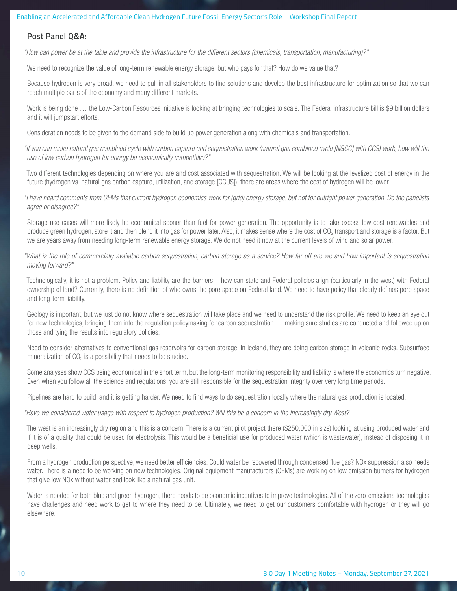### **Post Panel Q&A:**

*"How can power be at the table and provide the infrastructure for the different sectors (chemicals, transportation, manufacturing)?"*

We need to recognize the value of long-term renewable energy storage, but who pays for that? How do we value that?

Because hydrogen is very broad, we need to pull in all stakeholders to find solutions and develop the best infrastructure for optimization so that we can reach multiple parts of the economy and many different markets.

Work is being done ... the Low-Carbon Resources Initiative is looking at bringing technologies to scale. The Federal infrastructure bill is \$9 billion dollars and it will jumpstart efforts.

Consideration needs to be given to the demand side to build up power generation along with chemicals and transportation.

*"If you can make natural gas combined cycle with carbon capture and sequestration work (natural gas combined cycle [NGCC] with CCS) work, how will the use of low carbon hydrogen for energy be economically competitive?"*

Two different technologies depending on where you are and cost associated with sequestration. We will be looking at the levelized cost of energy in the future (hydrogen vs. natural gas carbon capture, utilization, and storage [CCUS]), there are areas where the cost of hydrogen will be lower.

*"I have heard comments from OEMs that current hydrogen economics work for (grid) energy storage, but not for outright power generation. Do the panelists agree or disagree?"*

Storage use cases will more likely be economical sooner than fuel for power generation. The opportunity is to take excess low-cost renewables and produce green hydrogen, store it and then blend it into gas for power later. Also, it makes sense where the cost of  $CO<sub>2</sub>$  transport and storage is a factor. But we are years away from needing long-term renewable energy storage. We do not need it now at the current levels of wind and solar power.

*"What is the role of commercially available carbon sequestration, carbon storage as a service? How far off are we and how important is sequestration moving forward?"*

Technologically, it is not a problem. Policy and liability are the barriers – how can state and Federal policies align (particularly in the west) with Federal ownership of land? Currently, there is no definition of who owns the pore space on Federal land. We need to have policy that clearly defines pore space and long-term liability.

Geology is important, but we just do not know where sequestration will take place and we need to understand the risk profile. We need to keep an eye out for new technologies, bringing them into the regulation policymaking for carbon sequestration … making sure studies are conducted and followed up on those and tying the results into regulatory policies.

Need to consider alternatives to conventional gas reservoirs for carbon storage. In Iceland, they are doing carbon storage in volcanic rocks. Subsurface mineralization of  $CO<sub>2</sub>$  is a possibility that needs to be studied.

Some analyses show CCS being economical in the short term, but the long-term monitoring responsibility and liability is where the economics turn negative. Even when you follow all the science and regulations, you are still responsible for the sequestration integrity over very long time periods.

Pipelines are hard to build, and it is getting harder. We need to find ways to do sequestration locally where the natural gas production is located.

*"Have we considered water usage with respect to hydrogen production? Will this be a concern in the increasingly dry West?*

The west is an increasingly dry region and this is a concern. There is a current pilot project there (\$250,000 in size) looking at using produced water and if it is of a quality that could be used for electrolysis. This would be a beneficial use for produced water (which is wastewater), instead of disposing it in deep wells.

From a hydrogen production perspective, we need better efficiencies. Could water be recovered through condensed flue gas? NOx suppression also needs water. There is a need to be working on new technologies. Original equipment manufacturers (OEMs) are working on low emission burners for hydrogen that give low NOx without water and look like a natural gas unit.

Water is needed for both blue and green hydrogen, there needs to be economic incentives to improve technologies. All of the zero-emissions technologies have challenges and need work to get to where they need to be. Ultimately, we need to get our customers comfortable with hydrogen or they will go elsewhere.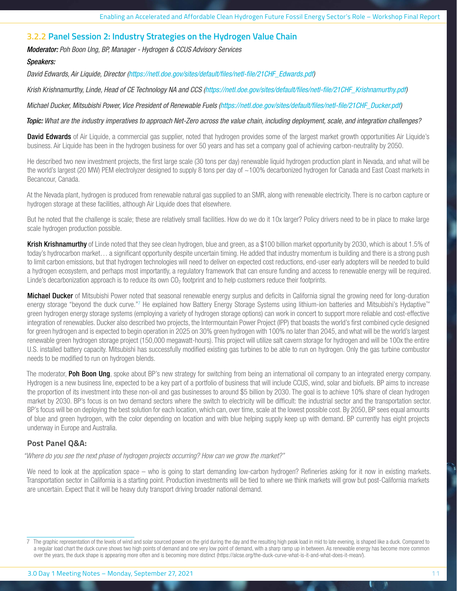## <span id="page-12-0"></span>**3.2.2 Panel Session 2: Industry Strategies on the Hydrogen Value Chain**

*Moderator: Poh Boon Ung, BP, Manager - Hydrogen & CCUS Advisory Services*

### *Speakers:*

*David Edwards, Air Liquide, Director ([https://netl.doe.gov/sites/default/files/netl-file/21CHF\\_Edwards.pdf\)](https://netl.doe.gov/sites/default/files/netl-file/21CHF_Edwards.pdf)*

*Krish Krishnamurthy, Linde, Head of CE Technology NA and CCS ([https://netl.doe.gov/sites/default/files/netl-file/21CHF\\_Krishnamurthy.pdf\)](https://netl.doe.gov/sites/default/files/netl-file/21CHF_Krishnamurthy.pdf)*

*Michael Ducker, Mitsubishi Power, Vice President of Renewable Fuels [\(https://netl.doe.gov/sites/default/files/netl-file/21CHF\\_Ducker.pdf](https://netl.doe.gov/sites/default/files/netl-file/21CHF_Ducker.pdf))*

*Topic: What are the industry imperatives to approach Net-Zero across the value chain, including deployment, scale, and integration challenges?*

David Edwards of Air Liquide, a commercial gas supplier, noted that hydrogen provides some of the largest market growth opportunities Air Liquide's business. Air Liquide has been in the hydrogen business for over 50 years and has set a company goal of achieving carbon-neutrality by 2050.

He described two new investment projects, the first large scale (30 tons per day) renewable liquid hydrogen production plant in Nevada, and what will be the world's largest (20 MW) PEM electrolyzer designed to supply 8 tons per day of ~100% decarbonized hydrogen for Canada and East Coast markets in Becancour, Canada.

At the Nevada plant, hydrogen is produced from renewable natural gas supplied to an SMR, along with renewable electricity. There is no carbon capture or hydrogen storage at these facilities, although Air Liquide does that elsewhere.

But he noted that the challenge is scale; these are relatively small facilities. How do we do it 10x larger? Policy drivers need to be in place to make large scale hydrogen production possible.

Krish Krishnamurthy of Linde noted that they see clean hydrogen, blue and green, as a \$100 billion market opportunity by 2030, which is about 1.5% of today's hydrocarbon market… a significant opportunity despite uncertain timing. He added that industry momentum is building and there is a strong push to limit carbon emissions, but that hydrogen technologies will need to deliver on expected cost reductions, end-user early adopters will be needed to build a hydrogen ecosystem, and perhaps most importantly, a regulatory framework that can ensure funding and access to renewable energy will be required. Linde's decarbonization approach is to reduce its own  $CO<sub>2</sub>$  footprint and to help customers reduce their footprints.

**Michael Ducker** of Mitsubishi Power noted that seasonal renewable energy surplus and deficits in California signal the growing need for long-duration energy storage "beyond the duck curve."7 He explained how Battery Energy Storage Systems using lithium-ion batteries and Mitsubishi's Hydaptive™ green hydrogen energy storage systems (employing a variety of hydrogen storage options) can work in concert to support more reliable and cost-effective integration of renewables. Ducker also described two projects, the Intermountain Power Project (IPP) that boasts the world's first combined cycle designed for green hydrogen and is expected to begin operation in 2025 on 30% green hydrogen with 100% no later than 2045, and what will be the world's largest renewable green hydrogen storage project (150,000 megawatt-hours). This project will utilize salt cavern storage for hydrogen and will be 100x the entire U.S. installed battery capacity. Mitsubishi has successfully modified existing gas turbines to be able to run on hydrogen. Only the gas turbine combustor needs to be modified to run on hydrogen blends.

The moderator, Poh Boon Ung, spoke about BP's new strategy for switching from being an international oil company to an integrated energy company. Hydrogen is a new business line, expected to be a key part of a portfolio of business that will include CCUS, wind, solar and biofuels. BP aims to increase the proportion of its investment into these non-oil and gas businesses to around \$5 billion by 2030. The goal is to achieve 10% share of clean hydrogen market by 2030. BP's focus is on two demand sectors where the switch to electricity will be difficult: the industrial sector and the transportation sector. BP's focus will be on deploying the best solution for each location, which can, over time, scale at the lowest possible cost. By 2050, BP sees equal amounts of blue and green hydrogen, with the color depending on location and with blue helping supply keep up with demand. BP currently has eight projects underway in Europe and Australia.

## **Post Panel Q&A:**

*"Where do you see the next phase of hydrogen projects occurring? How can we grow the market?"*

We need to look at the application space – who is going to start demanding low-carbon hydrogen? Refineries asking for it now in existing markets. Transportation sector in California is a starting point. Production investments will be tied to where we think markets will grow but post-California markets are uncertain. Expect that it will be heavy duty transport driving broader national demand.

The graphic representation of the levels of wind and solar sourced power on the grid during the day and the resulting high peak load in mid to late evening, is shaped like a duck. Compared to a regular load chart the duck curve shows two high points of demand and one very low point of demand, with a sharp ramp up in between. As renewable energy has become more common over the years, the duck shape is appearing more often and is becoming more distinct (https://alcse.org/the-duck-curve-what-is-it-and-what-does-it-mean/).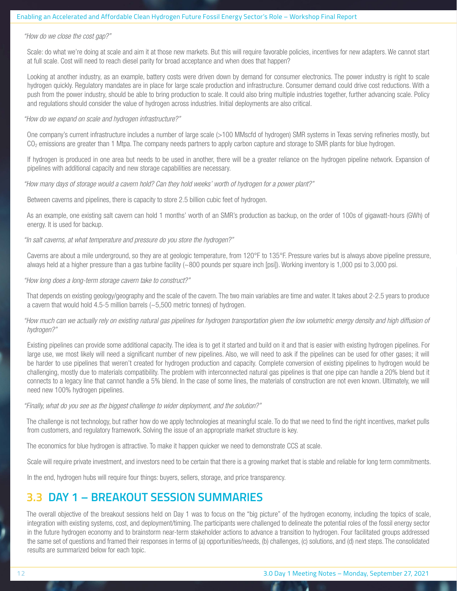#### <span id="page-13-0"></span>*"How do we close the cost gap?"*

Scale: do what we're doing at scale and aim it at those new markets. But this will require favorable policies, incentives for new adapters. We cannot start at full scale. Cost will need to reach diesel parity for broad acceptance and when does that happen?

Looking at another industry, as an example, battery costs were driven down by demand for consumer electronics. The power industry is right to scale hydrogen quickly. Regulatory mandates are in place for large scale production and infrastructure. Consumer demand could drive cost reductions. With a push from the power industry, should be able to bring production to scale. It could also bring multiple industries together, further advancing scale. Policy and regulations should consider the value of hydrogen across industries. Initial deployments are also critical.

#### *"How do we expand on scale and hydrogen infrastructure?"*

One company's current infrastructure includes a number of large scale (>100 MMscfd of hydrogen) SMR systems in Texas serving refineries mostly, but  $CO<sub>2</sub>$  emissions are greater than 1 Mtpa. The company needs partners to apply carbon capture and storage to SMR plants for blue hydrogen.

If hydrogen is produced in one area but needs to be used in another, there will be a greater reliance on the hydrogen pipeline network. Expansion of pipelines with additional capacity and new storage capabilities are necessary.

*"How many days of storage would a cavern hold? Can they hold weeks' worth of hydrogen for a power plant?"*

Between caverns and pipelines, there is capacity to store 2.5 billion cubic feet of hydrogen.

As an example, one existing salt cavern can hold 1 months' worth of an SMR's production as backup, on the order of 100s of gigawatt-hours (GWh) of energy. It is used for backup.

*"In salt caverns, at what temperature and pressure do you store the hydrogen?"*

Caverns are about a mile underground, so they are at geologic temperature, from 120°F to 135°F. Pressure varies but is always above pipeline pressure, always held at a higher pressure than a gas turbine facility (~800 pounds per square inch [psi]). Working inventory is 1,000 psi to 3,000 psi.

#### *"How long does a long-term storage cavern take to construct?"*

That depends on existing geology/geography and the scale of the cavern. The two main variables are time and water. It takes about 2-2.5 years to produce a cavern that would hold 4.5-5 million barrels (~5,500 metric tonnes) of hydrogen.

*"How much can we actually rely on existing natural gas pipelines for hydrogen transportation given the low volumetric energy density and high diffusion of hydrogen?"*

Existing pipelines can provide some additional capacity. The idea is to get it started and build on it and that is easier with existing hydrogen pipelines. For large use, we most likely will need a significant number of new pipelines. Also, we will need to ask if the pipelines can be used for other gases; it will be harder to use pipelines that weren't created for hydrogen production and capacity. Complete conversion of existing pipelines to hydrogen would be challenging, mostly due to materials compatibility. The problem with interconnected natural gas pipelines is that one pipe can handle a 20% blend but it connects to a legacy line that cannot handle a 5% blend. In the case of some lines, the materials of construction are not even known. Ultimately, we will need new 100% hydrogen pipelines.

#### *"Finally, what do you see as the biggest challenge to wider deployment, and the solution?"*

The challenge is not technology, but rather how do we apply technologies at meaningful scale. To do that we need to find the right incentives, market pulls from customers, and regulatory framework. Solving the issue of an appropriate market structure is key.

The economics for blue hydrogen is attractive. To make it happen quicker we need to demonstrate CCS at scale.

Scale will require private investment, and investors need to be certain that there is a growing market that is stable and reliable for long term commitments.

In the end, hydrogen hubs will require four things: buyers, sellers, storage, and price transparency.

## **3.3 DAY 1 – BREAKOUT SESSION SUMMARIES**

The overall objective of the breakout sessions held on Day 1 was to focus on the "big picture" of the hydrogen economy, including the topics of scale, integration with existing systems, cost, and deployment/timing. The participants were challenged to delineate the potential roles of the fossil energy sector in the future hydrogen economy and to brainstorm near-term stakeholder actions to advance a transition to hydrogen. Four facilitated groups addressed the same set of questions and framed their responses in terms of (a) opportunities/needs, (b) challenges, (c) solutions, and (d) next steps. The consolidated results are summarized below for each topic.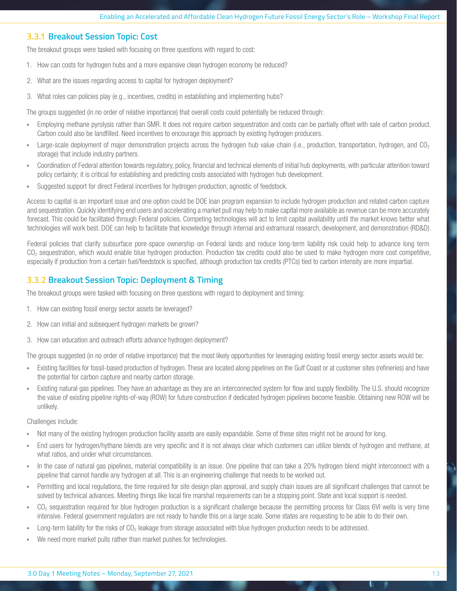## <span id="page-14-0"></span>**3.3.1 Breakout Session Topic: Cost**

The breakout groups were tasked with focusing on three questions with regard to cost:

- 1. How can costs for hydrogen hubs and a more expansive clean hydrogen economy be reduced?
- 2. What are the issues regarding access to capital for hydrogen deployment?
- 3. What roles can policies play (e.g., incentives, credits) in establishing and implementing hubs?

The groups suggested (in no order of relative importance) that overall costs could potentially be reduced through:

- Employing methane pyrolysis rather than SMR. It does not require carbon sequestration and costs can be partially offset with sale of carbon product. Carbon could also be landfilled. Need incentives to encourage this approach by existing hydrogen producers.
- Large-scale deployment of major demonstration projects across the hydrogen hub value chain (i.e., production, transportation, hydrogen, and  $CO<sub>2</sub>$ storage) that include industry partners.
- Coordination of Federal attention towards regulatory, policy, financial and technical elements of initial hub deployments, with particular attention toward policy certainty; it is critical for establishing and predicting costs associated with hydrogen hub development.
- Suggested support for direct Federal incentives for hydrogen production, agnostic of feedstock.

Access to capital is an important issue and one option could be DOE loan program expansion to include hydrogen production and related carbon capture and sequestration. Quickly identifying end users and accelerating a market pull may help to make capital more available as revenue can be more accurately forecast. This could be facilitated through Federal policies. Competing technologies will act to limit capital availability until the market knows better what technologies will work best. DOE can help to facilitate that knowledge through internal and extramural research, development, and demonstration (RD&D).

Federal policies that clarify subsurface pore-space ownership on Federal lands and reduce long-term liability risk could help to advance long term CO2 sequestration, which would enable blue hydrogen production. Production tax credits could also be used to make hydrogen more cost competitive, especially if production from a certain fuel/feedstock is specified, although production tax credits (PTCs) tied to carbon intensity are more impartial.

## **3.3.2 Breakout Session Topic: Deployment & Timing**

The breakout groups were tasked with focusing on three questions with regard to deployment and timing:

- 1. How can existing fossil energy sector assets be leveraged?
- 2. How can initial and subsequent hydrogen markets be grown?
- 3. How can education and outreach efforts advance hydrogen deployment?

The groups suggested (in no order of relative importance) that the most likely opportunities for leveraging existing fossil energy sector assets would be:

- Existing facilities for fossil-based production of hydrogen. These are located along pipelines on the Gulf Coast or at customer sites (refineries) and have the potential for carbon capture and nearby carbon storage.
- Existing natural gas pipelines. They have an advantage as they are an interconnected system for flow and supply flexibility. The U.S. should recognize the value of existing pipeline rights-of-way (ROW) for future construction if dedicated hydrogen pipelines become feasible. Obtaining new ROW will be unlikely.

#### Challenges include:

- Not many of the existing hydrogen production facility assets are easily expandable. Some of these sites might not be around for long.
- End users for hydrogen/hythane blends are very specific and it is not always clear which customers can utilize blends of hydrogen and methane, at what ratios, and under what circumstances.
- In the case of natural gas pipelines, material compatibility is an issue. One pipeline that can take a 20% hydrogen blend might interconnect with a pipeline that cannot handle any hydrogen at all. This is an engineering challenge that needs to be worked out.
- Permitting and local regulations, the time required for site design plan approval, and supply chain issues are all significant challenges that cannot be solved by technical advances. Meeting things like local fire marshal requirements can be a stopping point. State and local support is needed.
- $CO<sub>2</sub>$  sequestration required for blue hydrogen production is a significant challenge because the permitting process for Class 6VI wells is very time intensive. Federal government regulators are not ready to handle this on a large scale. Some states are requesting to be able to do their own.
- Long-term liability for the risks of  $CO<sub>2</sub>$  leakage from storage associated with blue hydrogen production needs to be addressed.
- We need more market pulls rather than market pushes for technologies.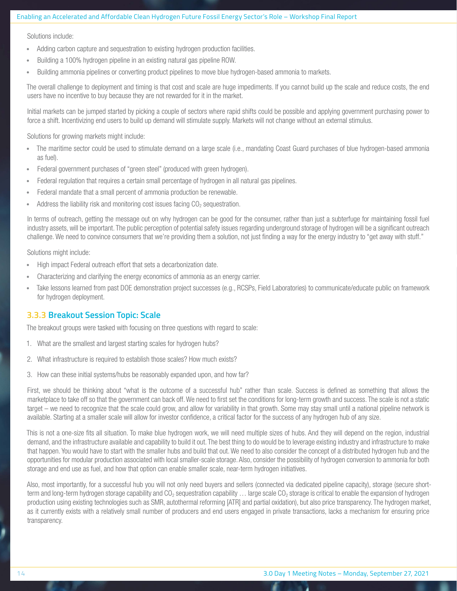<span id="page-15-0"></span>Solutions include:

- Adding carbon capture and sequestration to existing hydrogen production facilities.
- Building a 100% hydrogen pipeline in an existing natural gas pipeline ROW.
- Building ammonia pipelines or converting product pipelines to move blue hydrogen-based ammonia to markets.

The overall challenge to deployment and timing is that cost and scale are huge impediments. If you cannot build up the scale and reduce costs, the end users have no incentive to buy because they are not rewarded for it in the market.

Initial markets can be jumped started by picking a couple of sectors where rapid shifts could be possible and applying government purchasing power to force a shift. Incentivizing end users to build up demand will stimulate supply. Markets will not change without an external stimulus.

Solutions for growing markets might include:

- The maritime sector could be used to stimulate demand on a large scale (i.e., mandating Coast Guard purchases of blue hydrogen-based ammonia as fuel).
- Federal government purchases of "green steel" (produced with green hydrogen).
- Federal regulation that requires a certain small percentage of hydrogen in all natural gas pipelines.
- Federal mandate that a small percent of ammonia production be renewable.
- Address the liability risk and monitoring cost issues facing  $CO<sub>2</sub>$  sequestration.

In terms of outreach, getting the message out on why hydrogen can be good for the consumer, rather than just a subterfuge for maintaining fossil fuel industry assets, will be important. The public perception of potential safety issues regarding underground storage of hydrogen will be a significant outreach challenge. We need to convince consumers that we're providing them a solution, not just finding a way for the energy industry to "get away with stuff."

Solutions might include:

- High impact Federal outreach effort that sets a decarbonization date.
- Characterizing and clarifying the energy economics of ammonia as an energy carrier.
- Take lessons learned from past DOE demonstration project successes (e.g., RCSPs, Field Laboratories) to communicate/educate public on framework for hydrogen deployment.

## **3.3.3 Breakout Session Topic: Scale**

The breakout groups were tasked with focusing on three questions with regard to scale:

- 1. What are the smallest and largest starting scales for hydrogen hubs?
- 2. What infrastructure is required to establish those scales? How much exists?
- 3. How can these initial systems/hubs be reasonably expanded upon, and how far?

First, we should be thinking about "what is the outcome of a successful hub" rather than scale. Success is defined as something that allows the marketplace to take off so that the government can back off. We need to first set the conditions for long-term growth and success. The scale is not a static target – we need to recognize that the scale could grow, and allow for variability in that growth. Some may stay small until a national pipeline network is available. Starting at a smaller scale will allow for investor confidence, a critical factor for the success of any hydrogen hub of any size.

This is not a one-size fits all situation. To make blue hydrogen work, we will need multiple sizes of hubs. And they will depend on the region, industrial demand, and the infrastructure available and capability to build it out. The best thing to do would be to leverage existing industry and infrastructure to make that happen. You would have to start with the smaller hubs and build that out. We need to also consider the concept of a distributed hydrogen hub and the opportunities for modular production associated with local smaller-scale storage. Also, consider the possibility of hydrogen conversion to ammonia for both storage and end use as fuel, and how that option can enable smaller scale, near-term hydrogen initiatives.

Also, most importantly, for a successful hub you will not only need buyers and sellers (connected via dedicated pipeline capacity), storage (secure shortterm and long-term hydrogen storage capability and CO<sub>2</sub> sequestration capability ... large scale CO<sub>2</sub> storage is critical to enable the expansion of hydrogen production using existing technologies such as SMR, autothermal reforming [ATR] and partial oxidation), but also price transparency. The hydrogen market, as it currently exists with a relatively small number of producers and end users engaged in private transactions, lacks a mechanism for ensuring price transparency.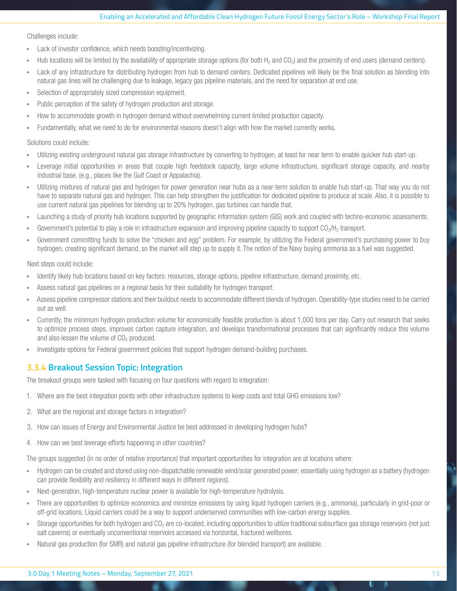<span id="page-16-0"></span>Challenges include:

- Lack of investor confidence, which needs boosting/incentivizing.
- Hub locations will be limited by the availability of appropriate storage options (for both  $H_2$  and CO<sub>2</sub>) and the proximity of end users (demand centers).
- Lack of any infrastructure for distributing hydrogen from hub to demand centers. Dedicated pipelines will likely be the final solution as blending into natural gas lines will be challenging due to leakage, legacy gas pipeline materials, and the need for separation at end use.
- Selection of appropriately sized compression equipment.
- Public perception of the safety of hydrogen production and storage.
- How to accommodate growth in hydrogen demand without overwhelming current limited production capacity.
- Fundamentally, what we need to do for environmental reasons doesn't align with how the market currently works.

Solutions could include:

- Utilizing existing underground natural gas storage infrastructure by converting to hydrogen, at least for near term to enable quicker hub start-up.
- Leverage initial opportunities in areas that couple high feedstock capacity, large volume infrastructure, significant storage capacity, and nearby industrial base. (e.g., places like the Gulf Coast or Appalachia).
- Utilizing mixtures of natural gas and hydrogen for power generation near hubs as a near-term solution to enable hub start-up. That way you do not have to separate natural gas and hydrogen. This can help strengthen the justification for dedicated pipeline to produce at scale. Also, it is possible to use current natural gas pipelines for blending up to 20% hydrogen, gas turbines can handle that.
- Launching a study of priority hub locations supported by geographic information system (GIS) work and coupled with techno-economic assessments.
- Government's potential to play a role in infrastructure expansion and improving pipeline capacity to support CO<sub>2</sub>/H<sub>2</sub> transport.
- Government committing funds to solve the "chicken and egg" problem. For example, by utilizing the Federal government's purchasing power to buy hydrogen, creating significant demand, so the market will step up to supply it. The notion of the Navy buying ammonia as a fuel was suggested.

Next steps could include:

- Identify likely hub locations based on key factors: resources, storage options, pipeline infrastructure, demand proximity, etc.
- Assess natural gas pipelines on a regional basis for their suitability for hydrogen transport.
- Assess pipeline compressor stations and their buildout needs to accommodate different blends of hydrogen. Operability-type studies need to be carried out as well.
- Currently, the minimum hydrogen production volume for economically feasible production is about 1,000 tons per day. Carry out research that seeks to optimize process steps, improves carbon capture integration, and develops transformational processes that can significantly reduce this volume and also lessen the volume of  $CO<sub>2</sub>$  produced.
- Investigate options for Federal government policies that support hydrogen demand-building purchases.

## **3.3.4 Breakout Session Topic: Integration**

The breakout groups were tasked with focusing on four questions with regard to integration:

- 1. Where are the best integration points with other infrastructure systems to keep costs and total GHG emissions low?
- 2. What are the regional and storage factors in integration?
- 3. How can issues of Energy and Environmental Justice be best addressed in developing hydrogen hubs?
- 4. How can we best leverage efforts happening in other countries?

The groups suggested (in no order of relative importance) that important opportunities for integration are at locations where:

- Hydrogen can be created and stored using non-dispatchable renewable wind/solar generated power; essentially using hydrogen as a battery (hydrogen can provide flexibility and resiliency in different ways in different regions).
- Next-generation, high-temperature nuclear power is available for high-temperature hydrolysis.
- There are opportunities to optimize economics and minimize emissions by using liquid hydrogen carriers (e.g., ammonia), particularly in grid-poor or off-grid locations. Liquid carriers could be a way to support underserved communities with low-carbon energy supplies.
- Storage opportunities for both hydrogen and CO<sub>2</sub> are co-located, including opportunities to utilize traditional subsurface gas storage reservoirs (not just salt caverns) or eventually unconventional reservoirs accessed via horizontal, fractured wellbores.
- Natural gas production (for SMR) and natural gas pipeline infrastructure (for blended transport) are available.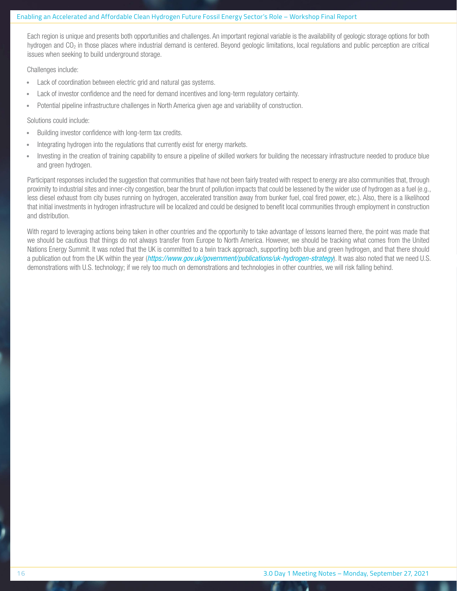Each region is unique and presents both opportunities and challenges. An important regional variable is the availability of geologic storage options for both hydrogen and CO<sub>2</sub> in those places where industrial demand is centered. Beyond geologic limitations, local regulations and public perception are critical issues when seeking to build underground storage.

Challenges include:

- Lack of coordination between electric grid and natural gas systems.
- Lack of investor confidence and the need for demand incentives and long-term regulatory certainty.
- Potential pipeline infrastructure challenges in North America given age and variability of construction.

Solutions could include:

- Building investor confidence with long-term tax credits.
- Integrating hydrogen into the regulations that currently exist for energy markets.
- Investing in the creation of training capability to ensure a pipeline of skilled workers for building the necessary infrastructure needed to produce blue and green hydrogen.

Participant responses included the suggestion that communities that have not been fairly treated with respect to energy are also communities that, through proximity to industrial sites and inner-city congestion, bear the brunt of pollution impacts that could be lessened by the wider use of hydrogen as a fuel (e.g., less diesel exhaust from city buses running on hydrogen, accelerated transition away from bunker fuel, coal fired power, etc.). Also, there is a likelihood that initial investments in hydrogen infrastructure will be localized and could be designed to benefit local communities through employment in construction and distribution.

With regard to leveraging actions being taken in other countries and the opportunity to take advantage of lessons learned there, the point was made that we should be cautious that things do not always transfer from Europe to North America. However, we should be tracking what comes from the United Nations Energy Summit. It was noted that the UK is committed to a twin track approach, supporting both blue and green hydrogen, and that there should a publication out from the UK within the year (*<https://www.gov.uk/government/publications/uk-hydrogen-strategy>*). It was also noted that we need U.S. demonstrations with U.S. technology; if we rely too much on demonstrations and technologies in other countries, we will risk falling behind.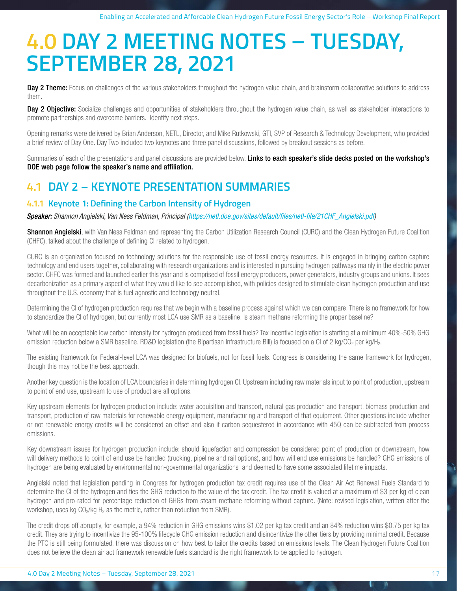# <span id="page-18-0"></span>**4.0 DAY 2 MEETING NOTES – TUESDAY, SEPTEMBER 28, 2021**

Day 2 Theme: Focus on challenges of the various stakeholders throughout the hydrogen value chain, and brainstorm collaborative solutions to address them.

Day 2 Objective: Socialize challenges and opportunities of stakeholders throughout the hydrogen value chain, as well as stakeholder interactions to promote partnerships and overcome barriers. Identify next steps.

Opening remarks were delivered by Brian Anderson, NETL, Director, and Mike Rutkowski, GTI, SVP of Research & Technology Development, who provided a brief review of Day One. Day Two included two keynotes and three panel discussions, followed by breakout sessions as before.

Summaries of each of the presentations and panel discussions are provided below. Links to each speaker's slide decks posted on the workshop's DOE web page follow the speaker's name and affiliation.

## **4.1 DAY 2 – KEYNOTE PRESENTATION SUMMARIES**

## **4.1.1 Keynote 1: Defining the Carbon Intensity of Hydrogen**

*Speaker: Shannon Angielski, Van Ness Feldman, Principal ([https://netl.doe.gov/sites/default/files/netl-file/21CHF\\_Angielski.pdf](https://netl.doe.gov/sites/default/files/netl-file/21CHF_Angielski.pdf))*

Shannon Angielski, with Van Ness Feldman and representing the Carbon Utilization Research Council (CURC) and the Clean Hydrogen Future Coalition (CHFC), talked about the challenge of defining CI related to hydrogen.

CURC is an organization focused on technology solutions for the responsible use of fossil energy resources. It is engaged in bringing carbon capture technology and end users together, collaborating with research organizations and is interested in pursuing hydrogen pathways mainly in the electric power sector. CHFC was formed and launched earlier this year and is comprised of fossil energy producers, power generators, industry groups and unions. It sees decarbonization as a primary aspect of what they would like to see accomplished, with policies designed to stimulate clean hydrogen production and use throughout the U.S. economy that is fuel agnostic and technology neutral.

Determining the CI of hydrogen production requires that we begin with a baseline process against which we can compare. There is no framework for how to standardize the CI of hydrogen, but currently most LCA use SMR as a baseline. Is steam methane reforming the proper baseline?

What will be an acceptable low carbon intensity for hydrogen produced from fossil fuels? Tax incentive legislation is starting at a minimum 40%-50% GHG emission reduction below a SMR baseline. RD&D legislation (the Bipartisan Infrastructure Bill) is focused on a CI of 2 kg/CO<sub>2</sub> per kg/H<sub>2</sub>.

The existing framework for Federal-level LCA was designed for biofuels, not for fossil fuels. Congress is considering the same framework for hydrogen, though this may not be the best approach.

Another key question is the location of LCA boundaries in determining hydrogen CI. Upstream including raw materials input to point of production, upstream to point of end use, upstream to use of product are all options.

Key upstream elements for hydrogen production include: water acquisition and transport, natural gas production and transport, biomass production and transport, production of raw materials for renewable energy equipment, manufacturing and transport of that equipment. Other questions include whether or not renewable energy credits will be considered an offset and also if carbon sequestered in accordance with 45Q can be subtracted from process emissions.

Key downstream issues for hydrogen production include: should liquefaction and compression be considered point of production or downstream, how will delivery methods to point of end use be handled (trucking, pipeline and rail options), and how will end use emissions be handled? GHG emissions of hydrogen are being evaluated by environmental non-governmental organizations and deemed to have some associated lifetime impacts.

Angielski noted that legislation pending in Congress for hydrogen production tax credit requires use of the Clean Air Act Renewal Fuels Standard to determine the CI of the hydrogen and ties the GHG reduction to the value of the tax credit. The tax credit is valued at a maximum of \$3 per kg of clean hydrogen and pro-rated for percentage reduction of GHGs from steam methane reforming without capture. (Note: revised legislation, written after the workshop, uses kg  $CO_2/kg$  H<sub>2</sub> as the metric, rather than reduction from SMR).

The credit drops off abruptly, for example, a 94% reduction in GHG emissions wins \$1.02 per kg tax credit and an 84% reduction wins \$0.75 per kg tax credit. They are trying to incentivize the 95-100% lifecycle GHG emission reduction and disincentivize the other tiers by providing minimal credit. Because the PTC is still being formulated, there was discussion on how best to tailor the credits based on emissions levels. The Clean Hydrogen Future Coalition does not believe the clean air act framework renewable fuels standard is the right framework to be applied to hydrogen.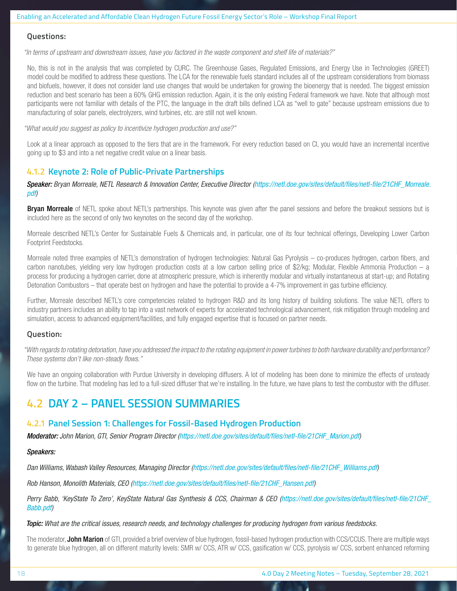#### <span id="page-19-0"></span>**Questions:**

*"In terms of upstream and downstream issues, have you factored in the waste component and shelf life of materials?"*

No, this is not in the analysis that was completed by CURC. The Greenhouse Gases, Regulated Emissions, and Energy Use in Technologies (GREET) model could be modified to address these questions. The LCA for the renewable fuels standard includes all of the upstream considerations from biomass and biofuels, however, it does not consider land use changes that would be undertaken for growing the bioenergy that is needed. The biggest emission reduction and best scenario has been a 60% GHG emission reduction. Again, it is the only existing Federal framework we have. Note that although most participants were not familiar with details of the PTC, the language in the draft bills defined LCA as "well to gate" because upstream emissions due to manufacturing of solar panels, electrolyzers, wind turbines, etc. are still not well known.

*"What would you suggest as policy to incentivize hydrogen production and use?"*

Look at a linear approach as opposed to the tiers that are in the framework. For every reduction based on CI, you would have an incremental incentive going up to \$3 and into a net negative credit value on a linear basis.

## **4.1.2 Keynote 2: Role of Public-Private Partnerships**

#### *Speaker: Bryan Morreale, NETL Research & Innovation Center, Executive Director ([https://netl.doe.gov/sites/default/files/netl-file/21CHF\\_Morreale.](https://netl.doe.gov/sites/default/files/netl-file/21CHF_Morreale.pdf) [pdf\)](https://netl.doe.gov/sites/default/files/netl-file/21CHF_Morreale.pdf)*

**Bryan Morreale** of NETL spoke about NETL's partnerships. This keynote was given after the panel sessions and before the breakout sessions but is included here as the second of only two keynotes on the second day of the workshop.

Morreale described NETL's Center for Sustainable Fuels & Chemicals and, in particular, one of its four technical offerings, Developing Lower Carbon Footprint Feedstocks.

Morreale noted three examples of NETL's demonstration of hydrogen technologies: Natural Gas Pyrolysis – co-produces hydrogen, carbon fibers, and carbon nanotubes, yielding very low hydrogen production costs at a low carbon selling price of \$2/kg; Modular, Flexible Ammonia Production – a process for producing a hydrogen carrier, done at atmospheric pressure, which is inherently modular and virtually instantaneous at start-up; and Rotating Detonation Combustors – that operate best on hydrogen and have the potential to provide a 4-7% improvement in gas turbine efficiency.

Further, Morreale described NETL's core competencies related to hydrogen R&D and its long history of building solutions. The value NETL offers to industry partners includes an ability to tap into a vast network of experts for accelerated technological advancement, risk mitigation through modeling and simulation, access to advanced equipment/facilities, and fully engaged expertise that is focused on partner needs.

#### **Question:**

*"With regards to rotating detonation, have you addressed the impact to the rotating equipment in power turbines to both hardware durability and performance? These systems don't like non-steady flows."*

We have an ongoing collaboration with Purdue University in developing diffusers. A lot of modeling has been done to minimize the effects of unsteady flow on the turbine. That modeling has led to a full-sized diffuser that we're installing. In the future, we have plans to test the combustor with the diffuser.

## **4.2 DAY 2 – PANEL SESSION SUMMARIES**

## **4.2.1 Panel Session 1: Challenges for Fossil-Based Hydrogen Production**

*Moderator: John Marion, GTI, Senior Program Director [\(https://netl.doe.gov/sites/default/files/netl-file/21CHF\\_Marion.pdf](https://netl.doe.gov/sites/default/files/netl-file/21CHF_Marion.pdf))*

#### *Speakers:*

*Dan Williams, Wabash Valley Resources, Managing Director ([https://netl.doe.gov/sites/default/files/netl-file/21CHF\\_Williams.pdf](https://netl.doe.gov/sites/default/files/netl-file/21CHF_Williams.pdf))*

*Rob Hanson, Monolith Materials, CEO [\(https://netl.doe.gov/sites/default/files/netl-file/21CHF\\_Hansen.pdf](https://netl.doe.gov/sites/default/files/netl-file/21CHF_Hansen.pdf))*

Perry Babb, 'KeyState To Zero', KeyState Natural Gas Synthesis & CCS, Chairman & CEO [\(https://netl.doe.gov/sites/default/files/netl-file/21CHF\\_](https://netl.doe.gov/sites/default/files/netl-file/21CHF_Babb.pdf) *[Babb.pdf\)](https://netl.doe.gov/sites/default/files/netl-file/21CHF_Babb.pdf)*

#### *Topic: What are the critical issues, research needs, and technology challenges for producing hydrogen from various feedstocks.*

The moderator, John Marion of GTI, provided a brief overview of blue hydrogen, fossil-based hydrogen production with CCS/CCUS. There are multiple ways to generate blue hydrogen, all on different maturity levels: SMR w/ CCS, ATR w/ CCS, gasification w/ CCS, pyrolysis w/ CCS, sorbent enhanced reforming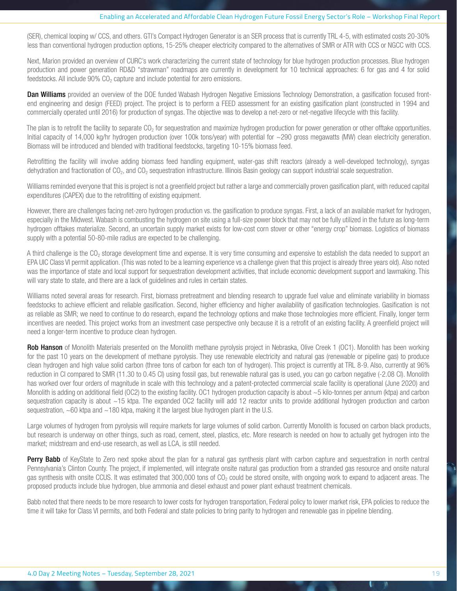(SER), chemical looping w/ CCS, and others. GTI's Compact Hydrogen Generator is an SER process that is currently TRL 4-5, with estimated costs 20-30% less than conventional hydrogen production options, 15-25% cheaper electricity compared to the alternatives of SMR or ATR with CCS or NGCC with CCS.

Next, Marion provided an overview of CURC's work characterizing the current state of technology for blue hydrogen production processes. Blue hydrogen production and power generation RD&D "strawman" roadmaps are currently in development for 10 technical approaches: 6 for gas and 4 for solid feedstocks. All include  $90\%$  CO<sub>2</sub> capture and include potential for zero emissions.

**Dan Williams** provided an overview of the DOE funded Wabash Hydrogen Negative Emissions Technology Demonstration, a gasification focused frontend engineering and design (FEED) project. The project is to perform a FEED assessment for an existing gasification plant (constructed in 1994 and commercially operated until 2016) for production of syngas. The objective was to develop a net-zero or net-negative lifecycle with this facility.

The plan is to retrofit the facility to separate  $CO<sub>2</sub>$  for sequestration and maximize hydrogen production for power generation or other offtake opportunities. Initial capacity of 14,000 kg/hr hydrogen production (over 100k tons/year) with potential for ~290 gross megawatts (MW) clean electricity generation. Biomass will be introduced and blended with traditional feedstocks, targeting 10-15% biomass feed.

Retrofitting the facility will involve adding biomass feed handling equipment, water-gas shift reactors (already a well-developed technology), syngas dehydration and fractionation of  $CO<sub>2</sub>$ , and  $CO<sub>2</sub>$  sequestration infrastructure. Illinois Basin geology can support industrial scale sequestration.

Williams reminded everyone that this is project is not a greenfield project but rather a large and commercially proven gasification plant, with reduced capital expenditures (CAPEX) due to the retrofitting of existing equipment.

However, there are challenges facing net-zero hydrogen production vs. the gasification to produce syngas. First, a lack of an available market for hydrogen, especially in the Midwest. Wabash is combusting the hydrogen on site using a full-size power block that may not be fully utilized in the future as long-term hydrogen offtakes materialize. Second, an uncertain supply market exists for low-cost corn stover or other "energy crop" biomass. Logistics of biomass supply with a potential 50-80-mile radius are expected to be challenging.

A third challenge is the  $CO<sub>2</sub>$  storage development time and expense. It is very time consuming and expensive to establish the data needed to support an EPA UIC Class VI permit application. (This was noted to be a learning experience vs a challenge given that this project is already three years old). Also noted was the importance of state and local support for sequestration development activities, that include economic development support and lawmaking. This will vary state to state, and there are a lack of guidelines and rules in certain states.

Williams noted several areas for research. First, biomass pretreatment and blending research to upgrade fuel value and eliminate variability in biomass feedstocks to achieve efficient and reliable gasification. Second, higher efficiency and higher availability of gasification technologies. Gasification is not as reliable as SMR; we need to continue to do research, expand the technology options and make those technologies more efficient. Finally, longer term incentives are needed. This project works from an investment case perspective only because it is a retrofit of an existing facility. A greenfield project will need a longer-term incentive to produce clean hydrogen.

Rob Hanson of Monolith Materials presented on the Monolith methane pyrolysis project in Nebraska, Olive Creek 1 (OC1). Monolith has been working for the past 10 years on the development of methane pyrolysis. They use renewable electricity and natural gas (renewable or pipeline gas) to produce clean hydrogen and high value solid carbon (three tons of carbon for each ton of hydrogen). This project is currently at TRL 8-9. Also, currently at 96% reduction in CI compared to SMR (11.30 to 0.45 CI) using fossil gas, but renewable natural gas is used, you can go carbon negative (-2.08 CI). Monolith has worked over four orders of magnitude in scale with this technology and a patent-protected commercial scale facility is operational (June 2020) and Monolith is adding on additional field (OC2) to the existing facility. OC1 hydrogen production capacity is about ~5 kilo-tonnes per annum (ktpa) and carbon sequestration capacity is about ~15 ktpa. The expanded OC2 facility will add 12 reactor units to provide additional hydrogen production and carbon sequestration, ~60 ktpa and ~180 ktpa, making it the largest blue hydrogen plant in the U.S.

Large volumes of hydrogen from pyrolysis will require markets for large volumes of solid carbon. Currently Monolith is focused on carbon black products, but research is underway on other things, such as road, cement, steel, plastics, etc. More research is needed on how to actually get hydrogen into the market; midstream and end-use research, as well as LCA, is still needed.

Perry Babb of KeyState to Zero next spoke about the plan for a natural gas synthesis plant with carbon capture and sequestration in north central Pennsylvania's Clinton County. The project, if implemented, will integrate onsite natural gas production from a stranded gas resource and onsite natural gas synthesis with onsite CCUS. It was estimated that 300,000 tons of  $CO<sub>2</sub>$  could be stored onsite, with ongoing work to expand to adjacent areas. The proposed products include blue hydrogen, blue ammonia and diesel exhaust and power plant exhaust treatment chemicals.

Babb noted that there needs to be more research to lower costs for hydrogen transportation, Federal policy to lower market risk, EPA policies to reduce the time it will take for Class VI permits, and both Federal and state policies to bring parity to hydrogen and renewable gas in pipeline blending.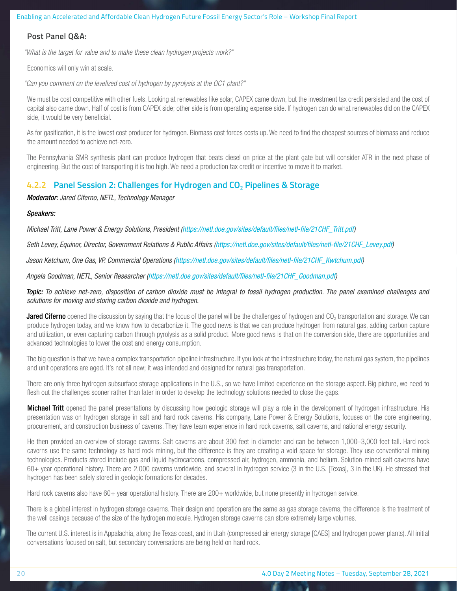## <span id="page-21-0"></span>**Post Panel Q&A:**

*"What is the target for value and to make these clean hydrogen projects work?"*

Economics will only win at scale.

*"Can you comment on the levelized cost of hydrogen by pyrolysis at the OC1 plant?"*

We must be cost competitive with other fuels. Looking at renewables like solar, CAPEX came down, but the investment tax credit persisted and the cost of capital also came down. Half of cost is from CAPEX side; other side is from operating expense side. If hydrogen can do what renewables did on the CAPEX side, it would be very beneficial.

As for gasification, it is the lowest cost producer for hydrogen. Biomass cost forces costs up. We need to find the cheapest sources of biomass and reduce the amount needed to achieve net-zero.

The Pennsylvania SMR synthesis plant can produce hydrogen that beats diesel on price at the plant gate but will consider ATR in the next phase of engineering. But the cost of transporting it is too high. We need a production tax credit or incentive to move it to market.

## **4.2.2 Panel Session 2: Challenges for Hydrogen and CO2 Pipelines & Storage**

*Moderator: Jared Ciferno, NETL, Technology Manager*

#### *Speakers:*

*Michael Tritt, Lane Power & Energy Solutions, President ([https://netl.doe.gov/sites/default/files/netl-file/21CHF\\_Tritt.pdf](https://netl.doe.gov/sites/default/files/netl-file/21CHF_Tritt.pdf))*

*Seth Levey, Equinor, Director, Government Relations & Public Affairs [\(https://netl.doe.gov/sites/default/files/netl-file/21CHF\\_Levey.pdf](https://netl.doe.gov/sites/default/files/netl-file/21CHF_Levey.pdf))*

*Jason Ketchum, One Gas, VP. Commercial Operations [\(https://netl.doe.gov/sites/default/files/netl-file/21CHF\\_Kwtchum.pdf](https://netl.doe.gov/sites/default/files/netl-file/21CHF_Kwtchum.pdf))*

*Angela Goodman, NETL, Senior Researcher ([https://netl.doe.gov/sites/default/files/netl-file/21CHF\\_Goodman.pdf](https://netl.doe.gov/sites/default/files/netl-file/21CHF_Goodman.pdf))*

*Topic: To achieve net-zero, disposition of carbon dioxide must be integral to fossil hydrogen production. The panel examined challenges and solutions for moving and storing carbon dioxide and hydrogen.*

**Jared Ciferno** opened the discussion by saying that the focus of the panel will be the challenges of hydrogen and CO<sub>2</sub> transportation and storage. We can produce hydrogen today, and we know how to decarbonize it. The good news is that we can produce hydrogen from natural gas, adding carbon capture and utilization, or even capturing carbon through pyrolysis as a solid product. More good news is that on the conversion side, there are opportunities and advanced technologies to lower the cost and energy consumption.

The big question is that we have a complex transportation pipeline infrastructure. If you look at the infrastructure today, the natural gas system, the pipelines and unit operations are aged. It's not all new; it was intended and designed for natural gas transportation.

There are only three hydrogen subsurface storage applications in the U.S., so we have limited experience on the storage aspect. Big picture, we need to flesh out the challenges sooner rather than later in order to develop the technology solutions needed to close the gaps.

Michael Tritt opened the panel presentations by discussing how geologic storage will play a role in the development of hydrogen infrastructure. His presentation was on hydrogen storage in salt and hard rock caverns. His company, Lane Power & Energy Solutions, focuses on the core engineering, procurement, and construction business of caverns. They have team experience in hard rock caverns, salt caverns, and national energy security.

He then provided an overview of storage caverns. Salt caverns are about 300 feet in diameter and can be between 1,000–3,000 feet tall. Hard rock caverns use the same technology as hard rock mining, but the difference is they are creating a void space for storage. They use conventional mining technologies. Products stored include gas and liquid hydrocarbons, compressed air, hydrogen, ammonia, and helium. Solution-mined salt caverns have 60+ year operational history. There are 2,000 caverns worldwide, and several in hydrogen service (3 in the U.S. [Texas], 3 in the UK). He stressed that hydrogen has been safely stored in geologic formations for decades.

Hard rock caverns also have 60+ year operational history. There are 200+ worldwide, but none presently in hydrogen service.

There is a global interest in hydrogen storage caverns. Their design and operation are the same as gas storage caverns, the difference is the treatment of the well casings because of the size of the hydrogen molecule. Hydrogen storage caverns can store extremely large volumes.

The current U.S. interest is in Appalachia, along the Texas coast, and in Utah (compressed air energy storage [CAES] and hydrogen power plants). All initial conversations focused on salt, but secondary conversations are being held on hard rock.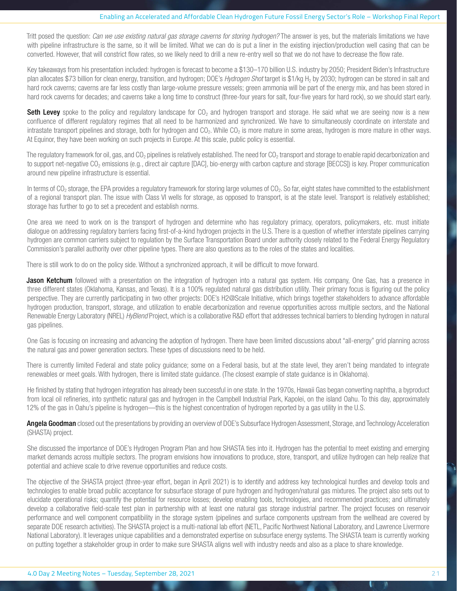Tritt posed the question: *Can we use existing natural gas storage caverns for storing hydrogen?* The answer is yes, but the materials limitations we have with pipeline infrastructure is the same, so it will be limited. What we can do is put a liner in the existing injection/production well casing that can be converted. However, that will constrict flow rates, so we likely need to drill a new re-entry well so that we do not have to decrease the flow rate.

Key takeaways from his presentation included: hydrogen is forecast to become a \$130–170 billion U.S. industry by 2050; President Biden's Infrastructure plan allocates \$73 billion for clean energy, transition, and hydrogen; DOE's *Hydrogen Shot* target is \$1/kg H2 by 2030; hydrogen can be stored in salt and hard rock caverns; caverns are far less costly than large-volume pressure vessels; green ammonia will be part of the energy mix, and has been stored in hard rock caverns for decades; and caverns take a long time to construct (three-four years for salt, four-five years for hard rock), so we should start early.

**Seth Levey** spoke to the policy and regulatory landscape for  $CO<sub>2</sub>$  and hydrogen transport and storage. He said what we are seeing now is a new confluence of different regulatory regimes that all need to be harmonized and synchronized. We have to simultaneously coordinate on interstate and intrastate transport pipelines and storage, both for hydrogen and  $CO<sub>2</sub>$ . While  $CO<sub>2</sub>$  is more mature in some areas, hydrogen is more mature in other ways. At Equinor, they have been working on such projects in Europe. At this scale, public policy is essential.

The regulatory framework for oil, gas, and CO<sub>2</sub> pipelines is relatively established. The need for CO<sub>2</sub> transport and storage to enable rapid decarbonization and to support net-negative CO<sub>2</sub> emissions (e.g., direct air capture [DAC], bio-energy with carbon capture and storage [BECCS]) is key. Proper communication around new pipeline infrastructure is essential.

In terms of CO<sub>2</sub> storage, the EPA provides a regulatory framework for storing large volumes of CO<sub>2</sub>. So far, eight states have committed to the establishment of a regional transport plan. The issue with Class VI wells for storage, as opposed to transport, is at the state level. Transport is relatively established; storage has further to go to set a precedent and establish norms.

One area we need to work on is the transport of hydrogen and determine who has regulatory primacy, operators, policymakers, etc. must initiate dialogue on addressing regulatory barriers facing first-of-a-kind hydrogen projects in the U.S. There is a question of whether interstate pipelines carrying hydrogen are common carriers subject to regulation by the Surface Transportation Board under authority closely related to the Federal Energy Regulatory Commission's parallel authority over other pipeline types. There are also questions as to the roles of the states and localities.

There is still work to do on the policy side. Without a synchronized approach, it will be difficult to move forward.

Jason Ketchum followed with a presentation on the integration of hydrogen into a natural gas system. His company, One Gas, has a presence in three different states (Oklahoma, Kansas, and Texas). It is a 100% regulated natural gas distribution utility. Their primary focus is figuring out the policy perspective. They are currently participating in two other projects: DOE's H2@Scale Initiative, which brings together stakeholders to advance affordable hydrogen production, transport, storage, and utilization to enable decarbonization and revenue opportunities across multiple sectors, and the National Renewable Energy Laboratory (NREL) *HyBlend* Project, which is a collaborative R&D effort that addresses technical barriers to blending hydrogen in natural gas pipelines.

One Gas is focusing on increasing and advancing the adoption of hydrogen. There have been limited discussions about "all-energy" grid planning across the natural gas and power generation sectors. These types of discussions need to be held.

There is currently limited Federal and state policy guidance; some on a Federal basis, but at the state level, they aren't being mandated to integrate renewables or meet goals. With hydrogen, there is limited state guidance. (The closest example of state guidance is in Oklahoma).

He finished by stating that hydrogen integration has already been successful in one state. In the 1970s, Hawaii Gas began converting naphtha, a byproduct from local oil refineries, into synthetic natural gas and hydrogen in the Campbell Industrial Park, Kapolei, on the island Oahu. To this day, approximately 12% of the gas in Oahu's pipeline is hydrogen—this is the highest concentration of hydrogen reported by a gas utility in the U.S.

Angela Goodman closed out the presentations by providing an overview of DOE's Subsurface Hydrogen Assessment, Storage, and Technology Acceleration (SHASTA) project.

She discussed the importance of DOE's Hydrogen Program Plan and how SHASTA ties into it. Hydrogen has the potential to meet existing and emerging market demands across multiple sectors. The program envisions how innovations to produce, store, transport, and utilize hydrogen can help realize that potential and achieve scale to drive revenue opportunities and reduce costs.

The objective of the SHASTA project (three-year effort, began in April 2021) is to identify and address key technological hurdles and develop tools and technologies to enable broad public acceptance for subsurface storage of pure hydrogen and hydrogen/natural gas mixtures. The project also sets out to elucidate operational risks; quantify the potential for resource losses; develop enabling tools, technologies, and recommended practices; and ultimately develop a collaborative field-scale test plan in partnership with at least one natural gas storage industrial partner. The project focuses on reservoir performance and well component compatibility in the storage system (pipelines and surface components upstream from the wellhead are covered by separate DOE research activities). The SHASTA project is a multi-national lab effort (NETL, Pacific Northwest National Laboratory, and Lawrence Livermore National Laboratory). It leverages unique capabilities and a demonstrated expertise on subsurface energy systems. The SHASTA team is currently working on putting together a stakeholder group in order to make sure SHASTA aligns well with industry needs and also as a place to share knowledge.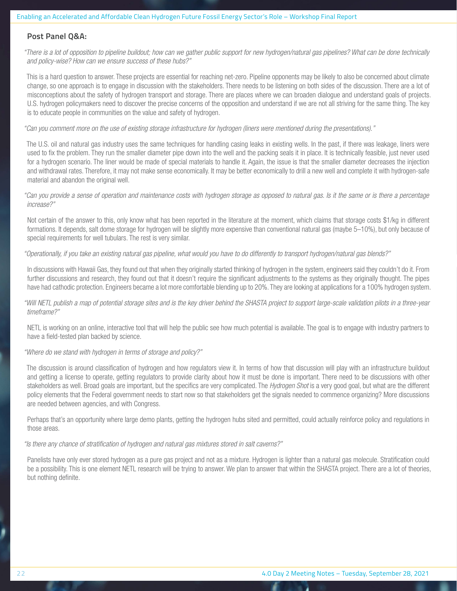## **Post Panel Q&A:**

*"There is a lot of opposition to pipeline buildout; how can we gather public support for new hydrogen/natural gas pipelines? What can be done technically and policy-wise? How can we ensure success of these hubs?"*

This is a hard question to answer. These projects are essential for reaching net-zero. Pipeline opponents may be likely to also be concerned about climate change, so one approach is to engage in discussion with the stakeholders. There needs to be listening on both sides of the discussion. There are a lot of misconceptions about the safety of hydrogen transport and storage. There are places where we can broaden dialogue and understand goals of projects. U.S. hydrogen policymakers need to discover the precise concerns of the opposition and understand if we are not all striving for the same thing. The key is to educate people in communities on the value and safety of hydrogen.

*"Can you comment more on the use of existing storage infrastructure for hydrogen (liners were mentioned during the presentations)."*

The U.S. oil and natural gas industry uses the same techniques for handling casing leaks in existing wells. In the past, if there was leakage, liners were used to fix the problem. They run the smaller diameter pipe down into the well and the packing seals it in place. It is technically feasible, just never used for a hydrogen scenario. The liner would be made of special materials to handle it. Again, the issue is that the smaller diameter decreases the injection and withdrawal rates. Therefore, it may not make sense economically. It may be better economically to drill a new well and complete it with hydrogen-safe material and abandon the original well.

*"Can you provide a sense of operation and maintenance costs with hydrogen storage as opposed to natural gas. Is it the same or is there a percentage increase?"*

Not certain of the answer to this, only know what has been reported in the literature at the moment, which claims that storage costs \$1/kg in different formations. It depends, salt dome storage for hydrogen will be slightly more expensive than conventional natural gas (maybe 5–10%), but only because of special requirements for well tubulars. The rest is very similar.

*"Operationally, if you take an existing natural gas pipeline, what would you have to do differently to transport hydrogen/natural gas blends?"*

In discussions with Hawaii Gas, they found out that when they originally started thinking of hydrogen in the system, engineers said they couldn't do it. From further discussions and research, they found out that it doesn't require the significant adjustments to the systems as they originally thought. The pipes have had cathodic protection. Engineers became a lot more comfortable blending up to 20%. They are looking at applications for a 100% hydrogen system.

*"Will NETL publish a map of potential storage sites and is the key driver behind the SHASTA project to support large-scale validation pilots in a three-year timeframe?"*

NETL is working on an online, interactive tool that will help the public see how much potential is available. The goal is to engage with industry partners to have a field-tested plan backed by science.

#### *"Where do we stand with hydrogen in terms of storage and policy?"*

The discussion is around classification of hydrogen and how regulators view it. In terms of how that discussion will play with an infrastructure buildout and getting a license to operate, getting regulators to provide clarity about how it must be done is important. There need to be discussions with other stakeholders as well. Broad goals are important, but the specifics are very complicated. The *Hydrogen Shot* is a very good goal, but what are the different policy elements that the Federal government needs to start now so that stakeholders get the signals needed to commence organizing? More discussions are needed between agencies, and with Congress.

Perhaps that's an opportunity where large demo plants, getting the hydrogen hubs sited and permitted, could actually reinforce policy and regulations in those areas.

#### *"Is there any chance of stratification of hydrogen and natural gas mixtures stored in salt caverns?"*

Panelists have only ever stored hydrogen as a pure gas project and not as a mixture. Hydrogen is lighter than a natural gas molecule. Stratification could be a possibility. This is one element NETL research will be trying to answer. We plan to answer that within the SHASTA project. There are a lot of theories, but nothing definite.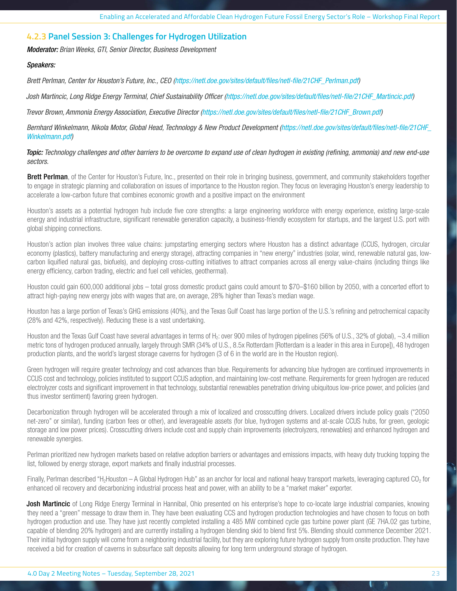## <span id="page-24-0"></span>**4.2.3 Panel Session 3: Challenges for Hydrogen Utilization**

*Moderator: Brian Weeks, GTI, Senior Director, Business Development*

#### *Speakers:*

*Brett Perlman, Center for Houston's Future, Inc., CEO [\(https://netl.doe.gov/sites/default/files/netl-file/21CHF\\_Perlman.pdf](https://netl.doe.gov/sites/default/files/netl-file/21CHF_Perlman.pdf))*

*Josh Martincic, Long Ridge Energy Terminal, Chief Sustainability Officer ([https://netl.doe.gov/sites/default/files/netl-file/21CHF\\_Martincic.pdf\)](https://netl.doe.gov/sites/default/files/netl-file/21CHF_Martincic.pdf)*

*Trevor Brown, Ammonia Energy Association, Executive Director ([https://netl.doe.gov/sites/default/files/netl-file/21CHF\\_Brown.pdf](https://netl.doe.gov/sites/default/files/netl-file/21CHF_Brown.pdf))*

Bernhard Winkelmann, Nikola Motor, Global Head, Technology & New Product Development (https://netl.doe.gov/sites/default/files/netl-file/21CHF *[Winkelmann.pdf\)](https://netl.doe.gov/sites/default/files/netl-file/21CHF_Winkelmann.pdf)*

*Topic: Technology challenges and other barriers to be overcome to expand use of clean hydrogen in existing (refining, ammonia) and new end-use sectors.*

**Brett Perlman**, of the Center for Houston's Future, Inc., presented on their role in bringing business, government, and community stakeholders together to engage in strategic planning and collaboration on issues of importance to the Houston region. They focus on leveraging Houston's energy leadership to accelerate a low-carbon future that combines economic growth and a positive impact on the environment

Houston's assets as a potential hydrogen hub include five core strengths: a large engineering workforce with energy experience, existing large-scale energy and industrial infrastructure, significant renewable generation capacity, a business-friendly ecosystem for startups, and the largest U.S. port with global shipping connections.

Houston's action plan involves three value chains: jumpstarting emerging sectors where Houston has a distinct advantage (CCUS, hydrogen, circular economy (plastics), battery manufacturing and energy storage), attracting companies in "new energy" industries (solar, wind, renewable natural gas, lowcarbon liquified natural gas, biofuels), and deploying cross-cutting initiatives to attract companies across all energy value-chains (including things like energy efficiency, carbon trading, electric and fuel cell vehicles, geothermal).

Houston could gain 600,000 additional jobs – total gross domestic product gains could amount to \$70–\$160 billion by 2050, with a concerted effort to attract high-paying new energy jobs with wages that are, on average, 28% higher than Texas's median wage.

Houston has a large portion of Texas's GHG emissions (40%), and the Texas Gulf Coast has large portion of the U.S.'s refining and petrochemical capacity (28% and 42%, respectively). Reducing these is a vast undertaking.

Houston and the Texas Gulf Coast have several advantages in terms of H<sub>2</sub>: over 900 miles of hydrogen pipelines (56% of U.S., 32% of global), ~3.4 million metric tons of hydrogen produced annually, largely through SMR (34% of U.S., 8.5x Rotterdam [Rotterdam is a leader in this area in Europe]), 48 hydrogen production plants, and the world's largest storage caverns for hydrogen (3 of 6 in the world are in the Houston region).

Green hydrogen will require greater technology and cost advances than blue. Requirements for advancing blue hydrogen are continued improvements in CCUS cost and technology, policies instituted to support CCUS adoption, and maintaining low-cost methane. Requirements for green hydrogen are reduced electrolyzer costs and significant improvement in that technology, substantial renewables penetration driving ubiquitous low-price power, and policies (and thus investor sentiment) favoring green hydrogen.

Decarbonization through hydrogen will be accelerated through a mix of localized and crosscutting drivers. Localized drivers include policy goals ("2050 net-zero" or similar), funding (carbon fees or other), and leverageable assets (for blue, hydrogen systems and at-scale CCUS hubs, for green, geologic storage and low power prices). Crosscutting drivers include cost and supply chain improvements (electrolyzers, renewables) and enhanced hydrogen and renewable synergies.

Perlman prioritized new hydrogen markets based on relative adoption barriers or advantages and emissions impacts, with heavy duty trucking topping the list, followed by energy storage, export markets and finally industrial processes.

Finally, Perlman described "H<sub>2</sub>Houston – A Global Hydrogen Hub" as an anchor for local and national heavy transport markets, leveraging captured CO<sub>2</sub> for enhanced oil recovery and decarbonizing industrial process heat and power, with an ability to be a "market maker" exporter.

Josh Martincic of Long Ridge Energy Terminal in Hannibal, Ohio presented on his enterprise's hope to co-locate large industrial companies, knowing they need a "green" message to draw them in. They have been evaluating CCS and hydrogen production technologies and have chosen to focus on both hydrogen production and use. They have just recently completed installing a 485 MW combined cycle gas turbine power plant (GE 7HA.02 gas turbine, capable of blending 20% hydrogen) and are currently installing a hydrogen blending skid to blend first 5%. Blending should commence December 2021. Their initial hydrogen supply will come from a neighboring industrial facility, but they are exploring future hydrogen supply from onsite production. They have received a bid for creation of caverns in subsurface salt deposits allowing for long term underground storage of hydrogen.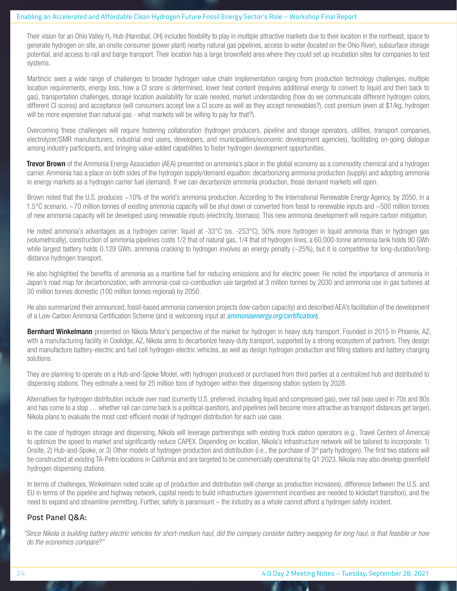Their vision for an Ohio Valley H<sub>2</sub> Hub (Hannibal, OH) includes flexibility to play in multiple attractive markets due to their location in the northeast, space to generate hydrogen on site, an onsite consumer (power plant) nearby natural gas pipelines, access to water (located on the Ohio River), subsurface storage potential, and access to rail and barge transport. Their location has a large brownfield area where they could set up incubation sites for companies to test systems.

Martincic sees a wide range of challenges to broader hydrogen value chain implementation ranging from production technology challenges, multiple location requirements, energy loss, how a CI score is determined, lower heat content (requires additional energy to convert to liquid and then back to gas), transportation challenges, storage location availability for scale needed, market understanding (how do we communicate different hydrogen colors, different CI scores) and acceptance (will consumers accept low a CI score as well as they accept renewables?), cost premium (even at \$1/kg, hydrogen will be more expensive than natural gas - what markets will be willing to pay for that?).

Overcoming these challenges will require fostering collaboration (hydrogen producers, pipeline and storage operators, utilities, transport companies, electrolyzer/SMR manufacturers, industrial end users, developers, and municipalities/economic development agencies), facilitating on-going dialogue among industry participants, and bringing value-added capabilities to foster hydrogen development opportunities.

Trevor Brown of the Ammonia Energy Association (AEA) presented on ammonia's place in the global economy as a commodity chemical and a hydrogen carrier. Ammonia has a place on both sides of the hydrogen supply/demand equation: decarbonizing ammonia production (supply) and adopting ammonia in energy markets as a hydrogen carrier fuel (demand). If we can decarbonize ammonia production, those demand markets will open.

Brown noted that the U.S. produces ~10% of the world's ammonia production. According to the International Renewable Energy Agency, by 2050, in a 1.5°C scenario, ~70 million tonnes of existing ammonia capacity will be shut down or converted from fossil to renewable inputs and ~500 million tonnes of new ammonia capacity will be developed using renewable inputs (electricity, biomass). This new ammonia development will require carbon mitigation.

He noted ammonia's advantages as a hydrogen carrier: liquid at -33°C (vs. -253°C), 50% more hydrogen in liquid ammonia than in hydrogen gas (volumetrically), construction of ammonia pipelines costs 1/2 that of natural gas, 1/4 that of hydrogen lines, a 60,000-tonne ammonia tank holds 90 GWh while largest battery holds 0.129 GWh, ammonia cracking to hydrogen involves an energy penalty (~25%), but it is competitive for long-duration/longdistance hydrogen transport.

He also highlighted the benefits of ammonia as a maritime fuel for reducing emissions and for electric power. He noted the importance of ammonia in Japan's road map for decarbonization, with ammonia-coal co-combustion use targeted at 3 million tonnes by 2030 and ammonia use in gas turbines at 30 million tonnes domestic (100 million tonnes regional) by 2050.

He also summarized their announced, fossil-based ammonia conversion projects (low-carbon capacity) and described AEA's facilitation of the development of a Low-Carbon Ammonia Certification Scheme (and is welcoming input at *[ammoniaenergy.org/certification](http://ammoniaenergy.org/certification)*).

Bernhard Winkelmann presented on Nikola Motor's perspective of the market for hydrogen in heavy duty transport. Founded in 2015 in Phoenix, AZ, with a manufacturing facility in Coolidge, AZ, Nikola aims to decarbonize heavy-duty transport, supported by a strong ecosystem of partners. They design and manufacture battery-electric and fuel cell hydrogen-electric vehicles, as well as design hydrogen production and filling stations and battery charging solutions.

They are planning to operate on a Hub-and-Spoke Model, with hydrogen produced or purchased from third parties at a centralized hub and distributed to dispensing stations. They estimate a need for 25 million tons of hydrogen within their dispensing station system by 2028.

Alternatives for hydrogen distribution include over road (currently U.S. preferred, including liquid and compressed gas), over rail (was used in 70s and 80s and has come to a stop … whether rail can come back is a political question), and pipelines (will become more attractive as transport distances get larger). Nikola plans to evaluate the most cost-efficient model of hydrogen distribution for each use case.

In the case of hydrogen storage and dispensing, Nikola will leverage partnerships with existing truck station operators (e.g., Travel Centers of America) to optimize the speed to market and significantly reduce CAPEX. Depending on location, Nikola's infrastructure network will be tailored to incorporate: 1) Onsite, 2) Hub-and-Spoke, or 3) Other models of hydrogen production and distribution (i.e., the purchase of  $3<sup>rd</sup>$  party hydrogen). The first two stations will be constructed at existing TA-Petro locations in California and are targeted to be commercially operational by Q1 2023. Nikola may also develop greenfield hydrogen dispensing stations.

In terms of challenges, Winkelmann noted scale up of production and distribution (will change as production increases), difference between the U.S. and EU in terms of the pipeline and highway network, capital needs to build infrastructure (government incentives are needed to kickstart transition), and the need to expand and streamline permitting. Further, safety is paramount – the industry as a whole cannot afford a hydrogen safety incident.

## **Post Panel Q&A:**

*"Since Nikola is building battery electric vehicles for short-medium haul, did the company consider battery swapping for long haul, is that feasible or how do the economics compare?"*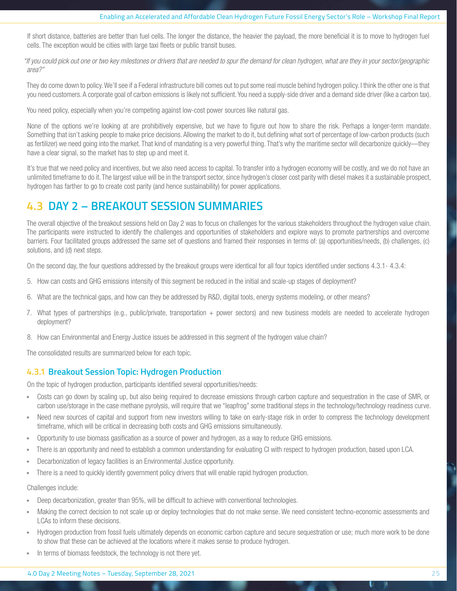<span id="page-26-0"></span>If short distance, batteries are better than fuel cells. The longer the distance, the heavier the payload, the more beneficial it is to move to hydrogen fuel cells. The exception would be cities with large taxi fleets or public transit buses.

*"If you could pick out one or two key milestones or drivers that are needed to spur the demand for clean hydrogen, what are they in your sector/geographic area?"*

They do come down to policy. We'll see if a Federal infrastructure bill comes out to put some real muscle behind hydrogen policy. I think the other one is that you need customers. A corporate goal of carbon emissions is likely not sufficient. You need a supply-side driver and a demand side driver (like a carbon tax).

You need policy, especially when you're competing against low-cost power sources like natural gas.

None of the options we're looking at are prohibitively expensive, but we have to figure out how to share the risk. Perhaps a longer-term mandate. Something that isn't asking people to make price decisions. Allowing the market to do it, but defining what sort of percentage of low-carbon products (such as fertilizer) we need going into the market. That kind of mandating is a very powerful thing. That's why the maritime sector will decarbonize quickly—they have a clear signal, so the market has to step up and meet it.

It's true that we need policy and incentives, but we also need access to capital. To transfer into a hydrogen economy will be costly, and we do not have an unlimited timeframe to do it. The largest value will be in the transport sector, since hydrogen's closer cost parity with diesel makes it a sustainable prospect, hydrogen has farther to go to create cost parity (and hence sustainability) for power applications.

## **4.3 DAY 2 – BREAKOUT SESSION SUMMARIES**

The overall objective of the breakout sessions held on Day 2 was to focus on challenges for the various stakeholders throughout the hydrogen value chain. The participants were instructed to identify the challenges and opportunities of stakeholders and explore ways to promote partnerships and overcome barriers. Four facilitated groups addressed the same set of questions and framed their responses in terms of: (a) opportunities/needs, (b) challenges, (c) solutions, and (d) next steps.

On the second day, the four questions addressed by the breakout groups were identical for all four topics identified under sections 4.3.1- 4.3.4:

- 5. How can costs and GHG emissions intensity of this segment be reduced in the initial and scale-up stages of deployment?
- 6. What are the technical gaps, and how can they be addressed by R&D, digital tools, energy systems modeling, or other means?
- 7. What types of partnerships (e.g., public/private, transportation + power sectors) and new business models are needed to accelerate hydrogen deployment?
- 8. How can Environmental and Energy Justice issues be addressed in this segment of the hydrogen value chain?

The consolidated results are summarized below for each topic.

### **4.3.1 Breakout Session Topic: Hydrogen Production**

On the topic of hydrogen production, participants identified several opportunities/needs:

- Costs can go down by scaling up, but also being required to decrease emissions through carbon capture and sequestration in the case of SMR, or carbon use/storage in the case methane pyrolysis, will require that we "leapfrog" some traditional steps in the technology/technology readiness curve.
- Need new sources of capital and support from new investors willing to take on early-stage risk in order to compress the technology development timeframe, which will be critical in decreasing both costs and GHG emissions simultaneously.
- Opportunity to use biomass gasification as a source of power and hydrogen, as a way to reduce GHG emissions.
- There is an opportunity and need to establish a common understanding for evaluating CI with respect to hydrogen production, based upon LCA.
- Decarbonization of legacy facilities is an Environmental Justice opportunity.
- There is a need to quickly identify government policy drivers that will enable rapid hydrogen production.

#### Challenges include:

- Deep decarbonization, greater than 95%, will be difficult to achieve with conventional technologies.
- Making the correct decision to not scale up or deploy technologies that do not make sense. We need consistent techno-economic assessments and LCAs to inform these decisions.
- Hydrogen production from fossil fuels ultimately depends on economic carbon capture and secure sequestration or use; much more work to be done to show that these can be achieved at the locations where it makes sense to produce hydrogen.
- In terms of biomass feedstock, the technology is not there yet.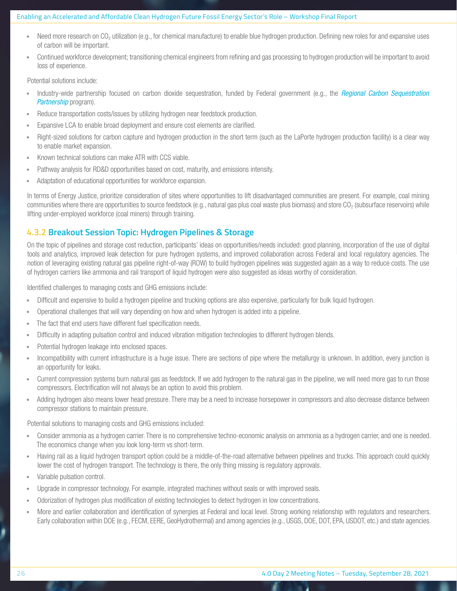#### <span id="page-27-0"></span>Enabling an Accelerated and Affordable Clean Hydrogen Future Fossil Energy Sector's Role – Workshop Final Report

- Need more research on CO<sub>2</sub> utilization (e.g., for chemical manufacture) to enable blue hydrogen production. Defining new roles for and expansive uses of carbon will be important.
- Continued workforce development; transitioning chemical engineers from refining and gas processing to hydrogen production will be important to avoid loss of experience.

Potential solutions include:

- Industry-wide partnership focused on carbon dioxide sequestration, funded by Federal government (e.g., the *[Regional Carbon Sequestration](https://netl.doe.gov/coal/carbon-storage/storage-infrastructure/regional-carbon-sequestration-partnerships-initiative)  Partnership* program).
- Reduce transportation costs/issues by utilizing hydrogen near feedstock production.
- Expansive LCA to enable broad deployment and ensure cost elements are clarified.
- Right-sized solutions for carbon capture and hydrogen production in the short term (such as the LaPorte hydrogen production facility) is a clear way to enable market expansion.
- Known technical solutions can make ATR with CCS viable.
- Pathway analysis for RD&D opportunities based on cost, maturity, and emissions intensity.
- Adaptation of educational opportunities for workforce expansion.

In terms of Energy Justice, prioritize consideration of sites where opportunities to lift disadvantaged communities are present. For example, coal mining communities where there are opportunities to source feedstock (e.g., natural gas plus coal waste plus biomass) and store  $CO<sub>2</sub>$  (subsurface reservoirs) while lifting under-employed workforce (coal miners) through training.

## **4.3.2 Breakout Session Topic: Hydrogen Pipelines & Storage**

On the topic of pipelines and storage cost reduction, participants' ideas on opportunities/needs included: good planning, incorporation of the use of digital tools and analytics, improved leak detection for pure hydrogen systems, and improved collaboration across Federal and local regulatory agencies. The notion of leveraging existing natural gas pipeline right-of-way (ROW) to build hydrogen pipelines was suggested again as a way to reduce costs. The use of hydrogen carriers like ammonia and rail transport of liquid hydrogen were also suggested as ideas worthy of consideration.

Identified challenges to managing costs and GHG emissions include:

- Difficult and expensive to build a hydrogen pipeline and trucking options are also expensive, particularly for bulk liquid hydrogen.
- Operational challenges that will vary depending on how and when hydrogen is added into a pipeline.
- The fact that end users have different fuel specification needs.
- Difficulty in adapting pulsation control and induced vibration mitigation technologies to different hydrogen blends.
- Potential hydrogen leakage into enclosed spaces.
- Incompatibility with current infrastructure is a huge issue. There are sections of pipe where the metallurgy is unknown. In addition, every junction is an opportunity for leaks.
- Current compression systems burn natural gas as feedstock. If we add hydrogen to the natural gas in the pipeline, we will need more gas to run those compressors. Electrification will not always be an option to avoid this problem.
- Adding hydrogen also means lower head pressure. There may be a need to increase horsepower in compressors and also decrease distance between compressor stations to maintain pressure.

Potential solutions to managing costs and GHG emissions included:

- Consider ammonia as a hydrogen carrier. There is no comprehensive techno-economic analysis on ammonia as a hydrogen carrier, and one is needed. The economics change when you look long-term vs short-term.
- Having rail as a liquid hydrogen transport option could be a middle-of-the-road alternative between pipelines and trucks. This approach could quickly lower the cost of hydrogen transport. The technology is there, the only thing missing is regulatory approvals.
- Variable pulsation control.
- Upgrade in compressor technology. For example, integrated machines without seals or with improved seals.
- Odorization of hydrogen plus modification of existing technologies to detect hydrogen in low concentrations.
- More and earlier collaboration and identification of synergies at Federal and local level. Strong working relationship with regulators and researchers. Early collaboration within DOE (e.g., FECM, EERE, GeoHydrothermal) and among agencies (e.g., USGS, DOE, DOT, EPA, USDOT, etc.) and state agencies.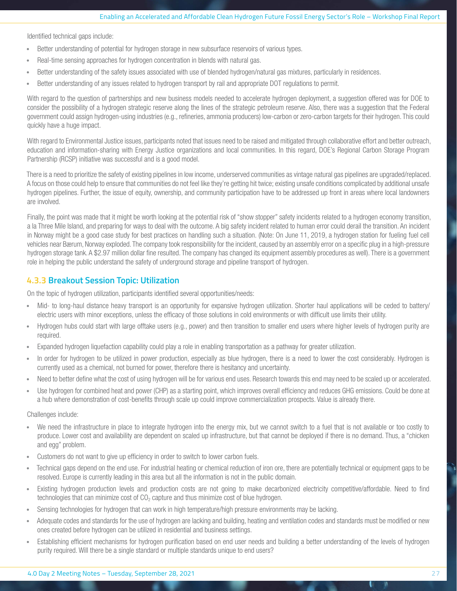<span id="page-28-0"></span>Identified technical gaps include:

- Better understanding of potential for hydrogen storage in new subsurface reservoirs of various types.
- Real-time sensing approaches for hydrogen concentration in blends with natural gas.
- Better understanding of the safety issues associated with use of blended hydrogen/natural gas mixtures, particularly in residences.
- Better understanding of any issues related to hydrogen transport by rail and appropriate DOT regulations to permit.

With regard to the question of partnerships and new business models needed to accelerate hydrogen deployment, a suggestion offered was for DOE to consider the possibility of a hydrogen strategic reserve along the lines of the strategic petroleum reserve. Also, there was a suggestion that the Federal government could assign hydrogen-using industries (e.g., refineries, ammonia producers) low-carbon or zero-carbon targets for their hydrogen. This could quickly have a huge impact.

With regard to Environmental Justice issues, participants noted that issues need to be raised and mitigated through collaborative effort and better outreach, education and information-sharing with Energy Justice organizations and local communities. In this regard, DOE's Regional Carbon Storage Program Partnership (RCSP) initiative was successful and is a good model.

There is a need to prioritize the safety of existing pipelines in low income, underserved communities as vintage natural gas pipelines are upgraded/replaced. A focus on those could help to ensure that communities do not feel like they're getting hit twice; existing unsafe conditions complicated by additional unsafe hydrogen pipelines. Further, the issue of equity, ownership, and community participation have to be addressed up front in areas where local landowners are involved.

Finally, the point was made that it might be worth looking at the potential risk of "show stopper" safety incidents related to a hydrogen economy transition, a la Three Mile Island, and preparing for ways to deal with the outcome. A big safety incident related to human error could derail the transition. An incident in Norway might be a good case study for best practices on handling such a situation. (Note: On June 11, 2019, a hydrogen station for fueling fuel cell vehicles near Bærum, Norway exploded. The company took responsibility for the incident, caused by an assembly error on a specific plug in a high-pressure hydrogen storage tank. A \$2.97 million dollar fine resulted. The company has changed its equipment assembly procedures as well). There is a government role in helping the public understand the safety of underground storage and pipeline transport of hydrogen.

## **4.3.3 Breakout Session Topic: Utilization**

On the topic of hydrogen utilization, participants identified several opportunities/needs:

- Mid- to long-haul distance heavy transport is an opportunity for expansive hydrogen utilization. Shorter haul applications will be ceded to battery/ electric users with minor exceptions, unless the efficacy of those solutions in cold environments or with difficult use limits their utility.
- Hydrogen hubs could start with large offtake users (e.g., power) and then transition to smaller end users where higher levels of hydrogen purity are required.
- Expanded hydrogen liquefaction capability could play a role in enabling transportation as a pathway for greater utilization.
- In order for hydrogen to be utilized in power production, especially as blue hydrogen, there is a need to lower the cost considerably. Hydrogen is currently used as a chemical, not burned for power, therefore there is hesitancy and uncertainty.
- Need to better define what the cost of using hydrogen will be for various end uses. Research towards this end may need to be scaled up or accelerated.
- Use hydrogen for combined heat and power (CHP) as a starting point, which improves overall efficiency and reduces GHG emissions. Could be done at a hub where demonstration of cost-benefits through scale up could improve commercialization prospects. Value is already there.

Challenges include:

- We need the infrastructure in place to integrate hydrogen into the energy mix, but we cannot switch to a fuel that is not available or too costly to produce. Lower cost and availability are dependent on scaled up infrastructure, but that cannot be deployed if there is no demand. Thus, a "chicken and egg" problem.
- Customers do not want to give up efficiency in order to switch to lower carbon fuels.
- Technical gaps depend on the end use. For industrial heating or chemical reduction of iron ore, there are potentially technical or equipment gaps to be resolved. Europe is currently leading in this area but all the information is not in the public domain.
- Existing hydrogen production levels and production costs are not going to make decarbonized electricity competitive/affordable. Need to find technologies that can minimize cost of  $CO<sub>2</sub>$  capture and thus minimize cost of blue hydrogen.
- Sensing technologies for hydrogen that can work in high temperature/high pressure environments may be lacking.
- Adequate codes and standards for the use of hydrogen are lacking and building, heating and ventilation codes and standards must be modified or new ones created before hydrogen can be utilized in residential and business settings.
- Establishing efficient mechanisms for hydrogen purification based on end user needs and building a better understanding of the levels of hydrogen purity required. Will there be a single standard or multiple standards unique to end users?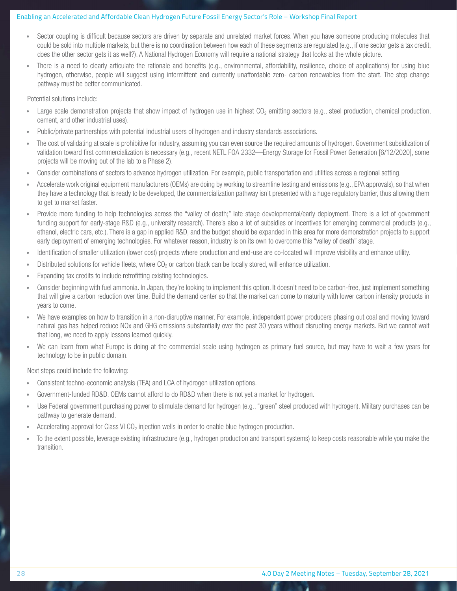#### Enabling an Accelerated and Affordable Clean Hydrogen Future Fossil Energy Sector's Role – Workshop Final Report

- Sector coupling is difficult because sectors are driven by separate and unrelated market forces. When you have someone producing molecules that could be sold into multiple markets, but there is no coordination between how each of these segments are regulated (e.g., if one sector gets a tax credit, does the other sector gets it as well?). A National Hydrogen Economy will require a national strategy that looks at the whole picture.
- There is a need to clearly articulate the rationale and benefits (e.g., environmental, affordability, resilience, choice of applications) for using blue hydrogen, otherwise, people will suggest using intermittent and currently unaffordable zero- carbon renewables from the start. The step change pathway must be better communicated.

Potential solutions include:

- Large scale demonstration projects that show impact of hydrogen use in highest  $CO<sub>2</sub>$  emitting sectors (e.g., steel production, chemical production, cement, and other industrial uses).
- Public/private partnerships with potential industrial users of hydrogen and industry standards associations.
- The cost of validating at scale is prohibitive for industry, assuming you can even source the required amounts of hydrogen. Government subsidization of validation toward first commercialization is necessary (e.g., recent NETL FOA 2332—Energy Storage for Fossil Power Generation [6/12/2020], some projects will be moving out of the lab to a Phase 2).
- Consider combinations of sectors to advance hydrogen utilization. For example, public transportation and utilities across a regional setting.
- Accelerate work original equipment manufacturers (OEMs) are doing by working to streamline testing and emissions (e.g., EPA approvals), so that when they have a technology that is ready to be developed, the commercialization pathway isn't presented with a huge regulatory barrier, thus allowing them to get to market faster.
- Provide more funding to help technologies across the "valley of death;" late stage developmental/early deployment. There is a lot of government funding support for early-stage R&D (e.g., university research). There's also a lot of subsidies or incentives for emerging commercial products (e.g., ethanol, electric cars, etc.). There is a gap in applied R&D, and the budget should be expanded in this area for more demonstration projects to support early deployment of emerging technologies. For whatever reason, industry is on its own to overcome this "valley of death" stage.
- Identification of smaller utilization (lower cost) projects where production and end-use are co-located will improve visibility and enhance utility.
- Distributed solutions for vehicle fleets, where  $CO<sub>2</sub>$  or carbon black can be locally stored, will enhance utilization.
- Expanding tax credits to include retrofitting existing technologies.
- Consider beginning with fuel ammonia. In Japan, they're looking to implement this option. It doesn't need to be carbon-free, just implement something that will give a carbon reduction over time. Build the demand center so that the market can come to maturity with lower carbon intensity products in years to come.
- We have examples on how to transition in a non-disruptive manner. For example, independent power producers phasing out coal and moving toward natural gas has helped reduce NOx and GHG emissions substantially over the past 30 years without disrupting energy markets. But we cannot wait that long, we need to apply lessons learned quickly.
- We can learn from what Europe is doing at the commercial scale using hydrogen as primary fuel source, but may have to wait a few years for technology to be in public domain.

Next steps could include the following:

- Consistent techno-economic analysis (TEA) and LCA of hydrogen utilization options.
- Government-funded RD&D. OEMs cannot afford to do RD&D when there is not yet a market for hydrogen.
- Use Federal government purchasing power to stimulate demand for hydrogen (e.g., "green" steel produced with hydrogen). Military purchases can be pathway to generate demand.
- Accelerating approval for Class VI  $CO<sub>2</sub>$  injection wells in order to enable blue hydrogen production.
- To the extent possible, leverage existing infrastructure (e.g., hydrogen production and transport systems) to keep costs reasonable while you make the transition.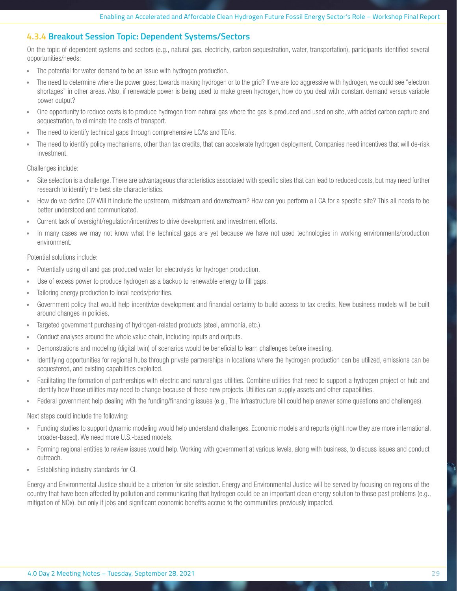## <span id="page-30-0"></span>**4.3.4 Breakout Session Topic: Dependent Systems/Sectors**

On the topic of dependent systems and sectors (e.g., natural gas, electricity, carbon sequestration, water, transportation), participants identified several opportunities/needs:

- The potential for water demand to be an issue with hydrogen production.
- The need to determine where the power goes; towards making hydrogen or to the grid? If we are too aggressive with hydrogen, we could see "electron shortages" in other areas. Also, if renewable power is being used to make green hydrogen, how do you deal with constant demand versus variable power output?
- One opportunity to reduce costs is to produce hydrogen from natural gas where the gas is produced and used on site, with added carbon capture and sequestration, to eliminate the costs of transport.
- The need to identify technical gaps through comprehensive LCAs and TEAs.
- The need to identify policy mechanisms, other than tax credits, that can accelerate hydrogen deployment. Companies need incentives that will de-risk investment.

Challenges include:

- Site selection is a challenge. There are advantageous characteristics associated with specific sites that can lead to reduced costs, but may need further research to identify the best site characteristics.
- How do we define CI? Will it include the upstream, midstream and downstream? How can you perform a LCA for a specific site? This all needs to be better understood and communicated.
- Current lack of oversight/regulation/incentives to drive development and investment efforts.
- In many cases we may not know what the technical gaps are yet because we have not used technologies in working environments/production environment.

Potential solutions include:

- Potentially using oil and gas produced water for electrolysis for hydrogen production.
- Use of excess power to produce hydrogen as a backup to renewable energy to fill gaps.
- Tailoring energy production to local needs/priorities.
- Government policy that would help incentivize development and financial certainty to build access to tax credits. New business models will be built around changes in policies.
- Targeted government purchasing of hydrogen-related products (steel, ammonia, etc.).
- Conduct analyses around the whole value chain, including inputs and outputs.
- Demonstrations and modeling (digital twin) of scenarios would be beneficial to learn challenges before investing.
- Identifying opportunities for regional hubs through private partnerships in locations where the hydrogen production can be utilized, emissions can be sequestered, and existing capabilities exploited.
- Facilitating the formation of partnerships with electric and natural gas utilities. Combine utilities that need to support a hydrogen project or hub and identify how those utilities may need to change because of these new projects. Utilities can supply assets and other capabilities.
- Federal government help dealing with the funding/financing issues (e.g., The Infrastructure bill could help answer some questions and challenges).

Next steps could include the following:

- Funding studies to support dynamic modeling would help understand challenges. Economic models and reports (right now they are more international, broader-based). We need more U.S.-based models.
- Forming regional entities to review issues would help. Working with government at various levels, along with business, to discuss issues and conduct outreach.
- Establishing industry standards for CI.

Energy and Environmental Justice should be a criterion for site selection. Energy and Environmental Justice will be served by focusing on regions of the country that have been affected by pollution and communicating that hydrogen could be an important clean energy solution to those past problems (e.g., mitigation of NOx), but only if jobs and significant economic benefits accrue to the communities previously impacted.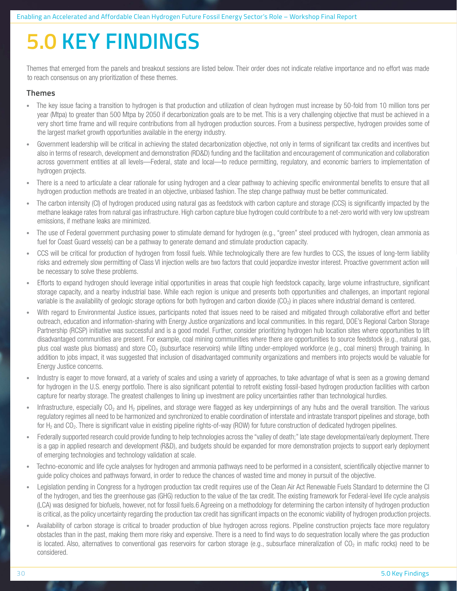# <span id="page-31-0"></span>**5.0 KEY FINDINGS**

Themes that emerged from the panels and breakout sessions are listed below. Their order does not indicate relative importance and no effort was made to reach consensus on any prioritization of these themes.

### **Themes**

- The key issue facing a transition to hydrogen is that production and utilization of clean hydrogen must increase by 50-fold from 10 million tons per year (Mtpa) to greater than 500 Mtpa by 2050 if decarbonization goals are to be met. This is a very challenging objective that must be achieved in a very short time frame and will require contributions from all hydrogen production sources. From a business perspective, hydrogen provides some of the largest market growth opportunities available in the energy industry.
- Government leadership will be critical in achieving the stated decarbonization objective, not only in terms of significant tax credits and incentives but also in terms of research, development and demonstration (RD&D) funding and the facilitation and encouragement of communication and collaboration across government entities at all levels—Federal, state and local—to reduce permitting, regulatory, and economic barriers to implementation of hydrogen projects.
- There is a need to articulate a clear rationale for using hydrogen and a clear pathway to achieving specific environmental benefits to ensure that all hydrogen production methods are treated in an objective, unbiased fashion. The step change pathway must be better communicated.
- The carbon intensity (CI) of hydrogen produced using natural gas as feedstock with carbon capture and storage (CCS) is significantly impacted by the methane leakage rates from natural gas infrastructure. High carbon capture blue hydrogen could contribute to a net-zero world with very low upstream emissions, if methane leaks are minimized.
- The use of Federal government purchasing power to stimulate demand for hydrogen (e.g., "green" steel produced with hydrogen, clean ammonia as fuel for Coast Guard vessels) can be a pathway to generate demand and stimulate production capacity.
- CCS will be critical for production of hydrogen from fossil fuels. While technologically there are few hurdles to CCS, the issues of long-term liability risks and extremely slow permitting of Class VI injection wells are two factors that could jeopardize investor interest. Proactive government action will be necessary to solve these problems.
- Efforts to expand hydrogen should leverage initial opportunities in areas that couple high feedstock capacity, large volume infrastructure, significant storage capacity, and a nearby industrial base. While each region is unique and presents both opportunities and challenges, an important regional variable is the availability of geologic storage options for both hydrogen and carbon dioxide (CO<sub>2</sub>) in places where industrial demand is centered.
- With regard to Environmental Justice issues, participants noted that issues need to be raised and mitigated through collaborative effort and better outreach, education and information-sharing with Energy Justice organizations and local communities. In this regard, DOE's Regional Carbon Storage Partnership (RCSP) initiative was successful and is a good model. Further, consider prioritizing hydrogen hub location sites where opportunities to lift disadvantaged communities are present. For example, coal mining communities where there are opportunities to source feedstock (e.g., natural gas, plus coal waste plus biomass) and store CO<sub>2</sub> (subsurface reservoirs) while lifting under-employed workforce (e.g., coal miners) through training. In addition to jobs impact, it was suggested that inclusion of disadvantaged community organizations and members into projects would be valuable for Energy Justice concerns.
- Industry is eager to move forward, at a variety of scales and using a variety of approaches, to take advantage of what is seen as a growing demand for hydrogen in the U.S. energy portfolio. There is also significant potential to retrofit existing fossil-based hydrogen production facilities with carbon capture for nearby storage. The greatest challenges to lining up investment are policy uncertainties rather than technological hurdles.
- Infrastructure, especially CO<sub>2</sub> and H<sub>2</sub> pipelines, and storage were flagged as key underpinnings of any hubs and the overall transition. The various regulatory regimes all need to be harmonized and synchronized to enable coordination of interstate and intrastate transport pipelines and storage, both for H<sub>2</sub> and CO<sub>2</sub>. There is significant value in existing pipeline rights-of-way (ROW) for future construction of dedicated hydrogen pipelines.
- Federally supported research could provide funding to help technologies across the "valley of death;" late stage developmental/early deployment. There is a gap in applied research and development (R&D), and budgets should be expanded for more demonstration projects to support early deployment of emerging technologies and technology validation at scale.
- Techno-economic and life cycle analyses for hydrogen and ammonia pathways need to be performed in a consistent, scientifically objective manner to guide policy choices and pathways forward, in order to reduce the chances of wasted time and money in pursuit of the objective.
- Legislation pending in Congress for a hydrogen production tax credit requires use of the Clean Air Act Renewable Fuels Standard to determine the CI of the hydrogen, and ties the greenhouse gas (GHG) reduction to the value of the tax credit. The existing framework for Federal-level life cycle analysis (LCA) was designed for biofuels, however, not for fossil fuels.6 Agreeing on a methodology for determining the carbon intensity of hydrogen production is critical, as the policy uncertainty regarding the production tax credit has significant impacts on the economic viability of hydrogen production projects.
- Availability of carbon storage is critical to broader production of blue hydrogen across regions. Pipeline construction projects face more regulatory obstacles than in the past, making them more risky and expensive. There is a need to find ways to do sequestration locally where the gas production is located. Also, alternatives to conventional gas reservoirs for carbon storage (e.g., subsurface mineralization of  $CO<sub>2</sub>$  in mafic rocks) need to be considered.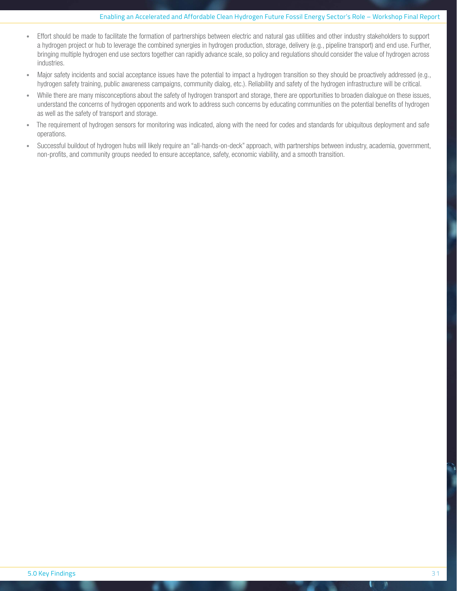#### Enabling an Accelerated and Affordable Clean Hydrogen Future Fossil Energy Sector's Role – Workshop Final Report

- Effort should be made to facilitate the formation of partnerships between electric and natural gas utilities and other industry stakeholders to support a hydrogen project or hub to leverage the combined synergies in hydrogen production, storage, delivery (e.g., pipeline transport) and end use. Further, bringing multiple hydrogen end use sectors together can rapidly advance scale, so policy and regulations should consider the value of hydrogen across industries.
- Major safety incidents and social acceptance issues have the potential to impact a hydrogen transition so they should be proactively addressed (e.g., hydrogen safety training, public awareness campaigns, community dialog, etc.). Reliability and safety of the hydrogen infrastructure will be critical.
- While there are many misconceptions about the safety of hydrogen transport and storage, there are opportunities to broaden dialogue on these issues, understand the concerns of hydrogen opponents and work to address such concerns by educating communities on the potential benefits of hydrogen as well as the safety of transport and storage.
- The requirement of hydrogen sensors for monitoring was indicated, along with the need for codes and standards for ubiquitous deployment and safe operations.
- Successful buildout of hydrogen hubs will likely require an "all-hands-on-deck" approach, with partnerships between industry, academia, government, non-profits, and community groups needed to ensure acceptance, safety, economic viability, and a smooth transition.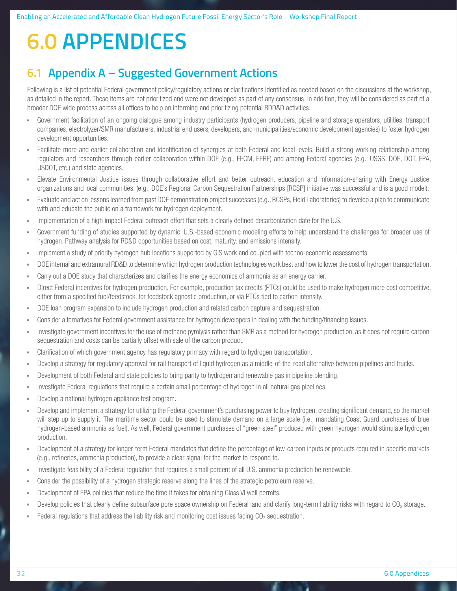# <span id="page-33-0"></span>**6.0 APPENDICES**

## **6.1 Appendix A – Suggested Government Actions**

Following is a list of potential Federal government policy/regulatory actions or clarifications identified as needed based on the discussions at the workshop, as detailed in the report. These items are not prioritized and were not developed as part of any consensus. In addition, they will be considered as part of a broader DOE wide process across all offices to help on informing and prioritizing potential RDD&D activities.

- Government facilitation of an ongoing dialogue among industry participants (hydrogen producers, pipeline and storage operators, utilities, transport companies, electrolyzer/SMR manufacturers, industrial end users, developers, and municipalities/economic development agencies) to foster hydrogen development opportunities.
- Facilitate more and earlier collaboration and identification of synergies at both Federal and local levels. Build a strong working relationship among regulators and researchers through earlier collaboration within DOE (e.g., FECM, EERE) and among Federal agencies (e.g., USGS, DOE, DOT, EPA, USDOT, etc.) and state agencies.
- Elevate Environmental Justice issues through collaborative effort and better outreach, education and information-sharing with Energy Justice organizations and local communities. (e.g., DOE's Regional Carbon Sequestration Partnerships [RCSP] initiative was successful and is a good model).
- Evaluate and act on lessons learned from past DOE demonstration project successes (e.g., RCSPs, Field Laboratories) to develop a plan to communicate with and educate the public on a framework for hydrogen deployment.
- Implementation of a high impact Federal outreach effort that sets a clearly defined decarbonization date for the U.S.
- Government funding of studies supported by dynamic, U.S.-based economic modeling efforts to help understand the challenges for broader use of hydrogen. Pathway analysis for RD&D opportunities based on cost, maturity, and emissions intensity.
- Implement a study of priority hydrogen hub locations supported by GIS work and coupled with techno-economic assessments.
- DOE internal and extramural RD&D to determine which hydrogen production technologies work best and how to lower the cost of hydrogen transportation.
- Carry out a DOE study that characterizes and clarifies the energy economics of ammonia as an energy carrier.
- Direct Federal incentives for hydrogen production. For example, production tax credits (PTCs) could be used to make hydrogen more cost competitive, either from a specified fuel/feedstock, for feedstock agnostic production, or via PTCs tied to carbon intensity.
- DOE loan program expansion to include hydrogen production and related carbon capture and sequestration.
- Consider alternatives for Federal government assistance for hydrogen developers in dealing with the funding/financing issues.
- Investigate government incentives for the use of methane pyrolysis rather than SMR as a method for hydrogen production, as it does not require carbon sequestration and costs can be partially offset with sale of the carbon product.
- Clarification of which government agency has regulatory primacy with regard to hydrogen transportation.
- Develop a strategy for regulatory approval for rail transport of liquid hydrogen as a middle-of-the-road alternative between pipelines and trucks.
- Development of both Federal and state policies to bring parity to hydrogen and renewable gas in pipeline blending.
- Investigate Federal regulations that require a certain small percentage of hydrogen in all natural gas pipelines.
- Develop a national hydrogen appliance test program.
- Develop and implement a strategy for utilizing the Federal government's purchasing power to buy hydrogen, creating significant demand, so the market will step up to supply it. The maritime sector could be used to stimulate demand on a large scale (i.e., mandating Coast Guard purchases of blue hydrogen-based ammonia as fuel). As well, Federal government purchases of "green steel" produced with green hydrogen would stimulate hydrogen production.
- Development of a strategy for longer-term Federal mandates that define the percentage of low-carbon inputs or products required in specific markets (e.g., refineries, ammonia production), to provide a clear signal for the market to respond to.
- Investigate feasibility of a Federal regulation that requires a small percent of all U.S. ammonia production be renewable.
- Consider the possibility of a hydrogen strategic reserve along the lines of the strategic petroleum reserve.
- Development of EPA policies that reduce the time it takes for obtaining Class VI well permits.
- Develop policies that clearly define subsurface pore space ownership on Federal land and clarify long-term liability risks with regard to CO<sub>2</sub> storage.
- Federal regulations that address the liability risk and monitoring cost issues facing  $CO<sub>2</sub>$  sequestration.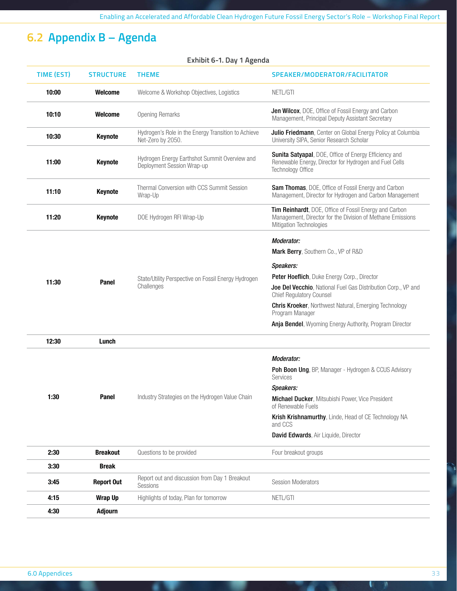## <span id="page-34-0"></span>**6.2 Appendix B – Agenda**

## **Exhibit 6-1. Day 1 Agenda TIME (EST) STRUCTURE THEME SPEAKER/MODERATOR/FACILITATOR 10:00 Welcome** Welcome & Workshop Objectives, Logistics NETL/GTI **10:10 Welcome** Opening Remarks **Jen Wilcox, DOE, Office of Fossil Energy and Carbon <b>Vietner** Carpone Carbon **Menagement** Discriptional Department Carponers Management, Principal Deputy Assistant Secretary **10:30** Keynote Hydrogen's Role in the Energy Transition to Achieve Net-Zero by 2050. Julio Friedmann, Center on Global Energy Policy at Columbia University SIPA, Senior Research Scholar **11:00 Keynote** Hydrogen Energy Earthshot Summit Overview and Deployment Session Wrap-up **Sunita Satyapal**, DOE, Office of Energy Efficiency and Renewable Energy, Director for Hydrogen and Fuel Cells Technology Office **11:10 Keynote** Thermal Conversion with CCS Summit Session Wrap-Up Sam Thomas, DOE, Office of Fossil Energy and Carbon Management, Director for Hydrogen and Carbon Management 11:20 **Keynote** DOE Hydrogen RFI Wrap-Up Tim Reinhardt, DOE, Office of Fossil Energy and Carbon Management, Director for the Division of Methane Emissions Mitigation Technologies **11:30 Panel** State/Utility Perspective on Fossil Energy Hydrogen Challenges *Moderator:* Mark Berry, Southern Co., VP of R&D *Speakers:* Peter Hoeflich, Duke Energy Corp., Director Joe Del Vecchio, National Fuel Gas Distribution Corp., VP and Chief Regulatory Counsel **Chris Kroeker, Northwest Natural, Emerging Technology** Program Manager Anja Bendel, Wyoming Energy Authority, Program Director 12:30 Lunch **1:30 Panel Industry Strategies on the Hydrogen Value Chain** *Moderator:* Poh Boon Ung, BP, Manager - Hydrogen & CCUS Advisory Services *Speakers:* Michael Ducker, Mitsubishi Power, Vice President of Renewable Fuels Krish Krishnamurthy, Linde, Head of CE Technology NA and CCS David Edwards, Air Liquide, Director **2:30 Breakout** Questions to be provided Four breakout groups 3:30 Break **3:45 Report Out** Report out and discussion from Day 1 Breakout Session Moderators **4:15 Wrap Up** Highlights of today, Plan for tomorrow NETL/GTI 4:30 Adjourn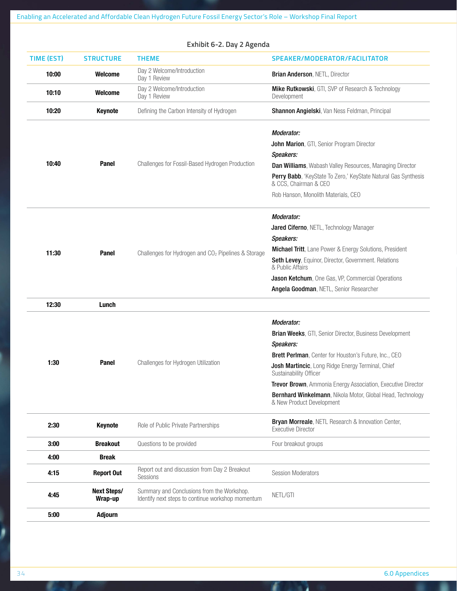<span id="page-35-0"></span>

| Day 2 Welcome/Introduction<br>10:00<br>Welcome<br>Brian Anderson, NETL, Director<br>Day 1 Review<br>Day 2 Welcome/Introduction<br><b>Mike Rutkowski, GTI, SVP of Research &amp; Technology</b><br>10:10<br>Welcome<br>Day 1 Review<br>Development<br>10:20<br>Defining the Carbon Intensity of Hydrogen<br><b>Keynote</b><br>Shannon Angielski, Van Ness Feldman, Principal<br>Moderator:<br>John Marion, GTI, Senior Program Director<br>Speakers:<br>10:40<br><b>Panel</b><br>Challenges for Fossil-Based Hydrogen Production<br>Dan Williams, Wabash Valley Resources, Managing Director<br>Perry Babb, 'KeyState To Zero,' KeyState Natural Gas Synthesis<br>& CCS, Chairman & CEO<br>Rob Hanson, Monolith Materials, CEO<br>Moderator:<br>Jared Ciferno, NETL, Technology Manager<br>Speakers:<br>Michael Tritt, Lane Power & Energy Solutions, President<br>11:30<br>Challenges for Hydrogen and CO <sub>2</sub> Pipelines & Storage<br><b>Panel</b><br>Seth Levey, Equinor, Director, Government. Relations<br>& Public Affairs<br>Jason Ketchum, One Gas, VP, Commercial Operations<br>Angela Goodman, NETL, Senior Researcher<br>12:30<br>Lunch<br>Moderator:<br><b>Brian Weeks, GTI, Senior Director, Business Development</b><br>Speakers:<br>Brett Perlman, Center for Houston's Future, Inc., CEO<br>1:30<br>Challenges for Hydrogen Utilization<br><b>Panel</b><br>Josh Martincic, Long Ridge Energy Terminal, Chief<br>Sustainability Officer<br>Trevor Brown, Ammonia Energy Association, Executive Director<br>Bernhard Winkelmann, Nikola Motor, Global Head, Technology<br>& New Product Development<br>Bryan Morreale, NETL Research & Innovation Center,<br>2:30<br><b>Keynote</b><br>Role of Public Private Partnerships<br><b>Executive Director</b><br>Questions to be provided<br>3:00<br><b>Breakout</b><br>Four breakout groups<br>4:00<br><b>Break</b><br>Report out and discussion from Day 2 Breakout<br>4:15<br><b>Report Out</b><br><b>Session Moderators</b><br>Sessions<br>Summary and Conclusions from the Workshop.<br><b>Next Steps/</b><br>NETL/GTI<br>4:45<br>Identify next steps to continue workshop momentum<br>Wrap-up<br>5:00<br><b>Adjourn</b> | TIME (EST) | <b>STRUCTURE</b> | <b>THEME</b> | SPEAKER/MODERATOR/FACILITATOR |
|---------------------------------------------------------------------------------------------------------------------------------------------------------------------------------------------------------------------------------------------------------------------------------------------------------------------------------------------------------------------------------------------------------------------------------------------------------------------------------------------------------------------------------------------------------------------------------------------------------------------------------------------------------------------------------------------------------------------------------------------------------------------------------------------------------------------------------------------------------------------------------------------------------------------------------------------------------------------------------------------------------------------------------------------------------------------------------------------------------------------------------------------------------------------------------------------------------------------------------------------------------------------------------------------------------------------------------------------------------------------------------------------------------------------------------------------------------------------------------------------------------------------------------------------------------------------------------------------------------------------------------------------------------------------------------------------------------------------------------------------------------------------------------------------------------------------------------------------------------------------------------------------------------------------------------------------------------------------------------------------------------------------------------------------------------------------------------------------------------------------------------------------------------------------------------------------|------------|------------------|--------------|-------------------------------|
|                                                                                                                                                                                                                                                                                                                                                                                                                                                                                                                                                                                                                                                                                                                                                                                                                                                                                                                                                                                                                                                                                                                                                                                                                                                                                                                                                                                                                                                                                                                                                                                                                                                                                                                                                                                                                                                                                                                                                                                                                                                                                                                                                                                             |            |                  |              |                               |
|                                                                                                                                                                                                                                                                                                                                                                                                                                                                                                                                                                                                                                                                                                                                                                                                                                                                                                                                                                                                                                                                                                                                                                                                                                                                                                                                                                                                                                                                                                                                                                                                                                                                                                                                                                                                                                                                                                                                                                                                                                                                                                                                                                                             |            |                  |              |                               |
|                                                                                                                                                                                                                                                                                                                                                                                                                                                                                                                                                                                                                                                                                                                                                                                                                                                                                                                                                                                                                                                                                                                                                                                                                                                                                                                                                                                                                                                                                                                                                                                                                                                                                                                                                                                                                                                                                                                                                                                                                                                                                                                                                                                             |            |                  |              |                               |
|                                                                                                                                                                                                                                                                                                                                                                                                                                                                                                                                                                                                                                                                                                                                                                                                                                                                                                                                                                                                                                                                                                                                                                                                                                                                                                                                                                                                                                                                                                                                                                                                                                                                                                                                                                                                                                                                                                                                                                                                                                                                                                                                                                                             |            |                  |              |                               |
|                                                                                                                                                                                                                                                                                                                                                                                                                                                                                                                                                                                                                                                                                                                                                                                                                                                                                                                                                                                                                                                                                                                                                                                                                                                                                                                                                                                                                                                                                                                                                                                                                                                                                                                                                                                                                                                                                                                                                                                                                                                                                                                                                                                             |            |                  |              |                               |
|                                                                                                                                                                                                                                                                                                                                                                                                                                                                                                                                                                                                                                                                                                                                                                                                                                                                                                                                                                                                                                                                                                                                                                                                                                                                                                                                                                                                                                                                                                                                                                                                                                                                                                                                                                                                                                                                                                                                                                                                                                                                                                                                                                                             |            |                  |              |                               |
|                                                                                                                                                                                                                                                                                                                                                                                                                                                                                                                                                                                                                                                                                                                                                                                                                                                                                                                                                                                                                                                                                                                                                                                                                                                                                                                                                                                                                                                                                                                                                                                                                                                                                                                                                                                                                                                                                                                                                                                                                                                                                                                                                                                             |            |                  |              |                               |
|                                                                                                                                                                                                                                                                                                                                                                                                                                                                                                                                                                                                                                                                                                                                                                                                                                                                                                                                                                                                                                                                                                                                                                                                                                                                                                                                                                                                                                                                                                                                                                                                                                                                                                                                                                                                                                                                                                                                                                                                                                                                                                                                                                                             |            |                  |              |                               |
|                                                                                                                                                                                                                                                                                                                                                                                                                                                                                                                                                                                                                                                                                                                                                                                                                                                                                                                                                                                                                                                                                                                                                                                                                                                                                                                                                                                                                                                                                                                                                                                                                                                                                                                                                                                                                                                                                                                                                                                                                                                                                                                                                                                             |            |                  |              |                               |
|                                                                                                                                                                                                                                                                                                                                                                                                                                                                                                                                                                                                                                                                                                                                                                                                                                                                                                                                                                                                                                                                                                                                                                                                                                                                                                                                                                                                                                                                                                                                                                                                                                                                                                                                                                                                                                                                                                                                                                                                                                                                                                                                                                                             |            |                  |              |                               |
|                                                                                                                                                                                                                                                                                                                                                                                                                                                                                                                                                                                                                                                                                                                                                                                                                                                                                                                                                                                                                                                                                                                                                                                                                                                                                                                                                                                                                                                                                                                                                                                                                                                                                                                                                                                                                                                                                                                                                                                                                                                                                                                                                                                             |            |                  |              |                               |
|                                                                                                                                                                                                                                                                                                                                                                                                                                                                                                                                                                                                                                                                                                                                                                                                                                                                                                                                                                                                                                                                                                                                                                                                                                                                                                                                                                                                                                                                                                                                                                                                                                                                                                                                                                                                                                                                                                                                                                                                                                                                                                                                                                                             |            |                  |              |                               |
|                                                                                                                                                                                                                                                                                                                                                                                                                                                                                                                                                                                                                                                                                                                                                                                                                                                                                                                                                                                                                                                                                                                                                                                                                                                                                                                                                                                                                                                                                                                                                                                                                                                                                                                                                                                                                                                                                                                                                                                                                                                                                                                                                                                             |            |                  |              |                               |
|                                                                                                                                                                                                                                                                                                                                                                                                                                                                                                                                                                                                                                                                                                                                                                                                                                                                                                                                                                                                                                                                                                                                                                                                                                                                                                                                                                                                                                                                                                                                                                                                                                                                                                                                                                                                                                                                                                                                                                                                                                                                                                                                                                                             |            |                  |              |                               |
|                                                                                                                                                                                                                                                                                                                                                                                                                                                                                                                                                                                                                                                                                                                                                                                                                                                                                                                                                                                                                                                                                                                                                                                                                                                                                                                                                                                                                                                                                                                                                                                                                                                                                                                                                                                                                                                                                                                                                                                                                                                                                                                                                                                             |            |                  |              |                               |
|                                                                                                                                                                                                                                                                                                                                                                                                                                                                                                                                                                                                                                                                                                                                                                                                                                                                                                                                                                                                                                                                                                                                                                                                                                                                                                                                                                                                                                                                                                                                                                                                                                                                                                                                                                                                                                                                                                                                                                                                                                                                                                                                                                                             |            |                  |              |                               |
|                                                                                                                                                                                                                                                                                                                                                                                                                                                                                                                                                                                                                                                                                                                                                                                                                                                                                                                                                                                                                                                                                                                                                                                                                                                                                                                                                                                                                                                                                                                                                                                                                                                                                                                                                                                                                                                                                                                                                                                                                                                                                                                                                                                             |            |                  |              |                               |
|                                                                                                                                                                                                                                                                                                                                                                                                                                                                                                                                                                                                                                                                                                                                                                                                                                                                                                                                                                                                                                                                                                                                                                                                                                                                                                                                                                                                                                                                                                                                                                                                                                                                                                                                                                                                                                                                                                                                                                                                                                                                                                                                                                                             |            |                  |              |                               |
|                                                                                                                                                                                                                                                                                                                                                                                                                                                                                                                                                                                                                                                                                                                                                                                                                                                                                                                                                                                                                                                                                                                                                                                                                                                                                                                                                                                                                                                                                                                                                                                                                                                                                                                                                                                                                                                                                                                                                                                                                                                                                                                                                                                             |            |                  |              |                               |
|                                                                                                                                                                                                                                                                                                                                                                                                                                                                                                                                                                                                                                                                                                                                                                                                                                                                                                                                                                                                                                                                                                                                                                                                                                                                                                                                                                                                                                                                                                                                                                                                                                                                                                                                                                                                                                                                                                                                                                                                                                                                                                                                                                                             |            |                  |              |                               |
|                                                                                                                                                                                                                                                                                                                                                                                                                                                                                                                                                                                                                                                                                                                                                                                                                                                                                                                                                                                                                                                                                                                                                                                                                                                                                                                                                                                                                                                                                                                                                                                                                                                                                                                                                                                                                                                                                                                                                                                                                                                                                                                                                                                             |            |                  |              |                               |
|                                                                                                                                                                                                                                                                                                                                                                                                                                                                                                                                                                                                                                                                                                                                                                                                                                                                                                                                                                                                                                                                                                                                                                                                                                                                                                                                                                                                                                                                                                                                                                                                                                                                                                                                                                                                                                                                                                                                                                                                                                                                                                                                                                                             |            |                  |              |                               |
|                                                                                                                                                                                                                                                                                                                                                                                                                                                                                                                                                                                                                                                                                                                                                                                                                                                                                                                                                                                                                                                                                                                                                                                                                                                                                                                                                                                                                                                                                                                                                                                                                                                                                                                                                                                                                                                                                                                                                                                                                                                                                                                                                                                             |            |                  |              |                               |
|                                                                                                                                                                                                                                                                                                                                                                                                                                                                                                                                                                                                                                                                                                                                                                                                                                                                                                                                                                                                                                                                                                                                                                                                                                                                                                                                                                                                                                                                                                                                                                                                                                                                                                                                                                                                                                                                                                                                                                                                                                                                                                                                                                                             |            |                  |              |                               |
|                                                                                                                                                                                                                                                                                                                                                                                                                                                                                                                                                                                                                                                                                                                                                                                                                                                                                                                                                                                                                                                                                                                                                                                                                                                                                                                                                                                                                                                                                                                                                                                                                                                                                                                                                                                                                                                                                                                                                                                                                                                                                                                                                                                             |            |                  |              |                               |
|                                                                                                                                                                                                                                                                                                                                                                                                                                                                                                                                                                                                                                                                                                                                                                                                                                                                                                                                                                                                                                                                                                                                                                                                                                                                                                                                                                                                                                                                                                                                                                                                                                                                                                                                                                                                                                                                                                                                                                                                                                                                                                                                                                                             |            |                  |              |                               |
|                                                                                                                                                                                                                                                                                                                                                                                                                                                                                                                                                                                                                                                                                                                                                                                                                                                                                                                                                                                                                                                                                                                                                                                                                                                                                                                                                                                                                                                                                                                                                                                                                                                                                                                                                                                                                                                                                                                                                                                                                                                                                                                                                                                             |            |                  |              |                               |
|                                                                                                                                                                                                                                                                                                                                                                                                                                                                                                                                                                                                                                                                                                                                                                                                                                                                                                                                                                                                                                                                                                                                                                                                                                                                                                                                                                                                                                                                                                                                                                                                                                                                                                                                                                                                                                                                                                                                                                                                                                                                                                                                                                                             |            |                  |              |                               |
|                                                                                                                                                                                                                                                                                                                                                                                                                                                                                                                                                                                                                                                                                                                                                                                                                                                                                                                                                                                                                                                                                                                                                                                                                                                                                                                                                                                                                                                                                                                                                                                                                                                                                                                                                                                                                                                                                                                                                                                                                                                                                                                                                                                             |            |                  |              |                               |
|                                                                                                                                                                                                                                                                                                                                                                                                                                                                                                                                                                                                                                                                                                                                                                                                                                                                                                                                                                                                                                                                                                                                                                                                                                                                                                                                                                                                                                                                                                                                                                                                                                                                                                                                                                                                                                                                                                                                                                                                                                                                                                                                                                                             |            |                  |              |                               |

## **Exhibit 6-2. Day 2 Agenda**

an an S

×

,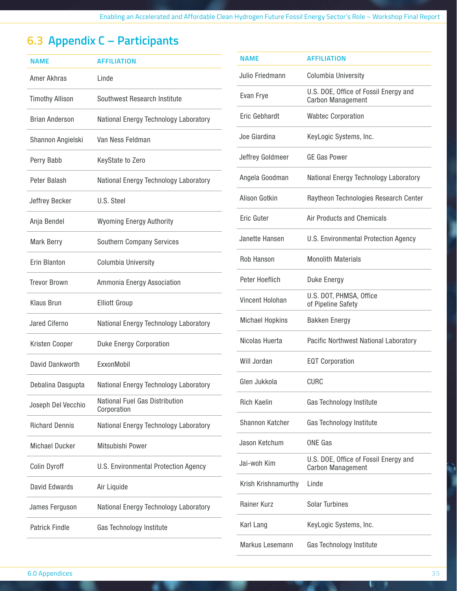# <span id="page-36-0"></span>**6.3 Appendix C – Participants**

| <b>NAME</b>            | <b>AFFILIATION</b>                                   |
|------------------------|------------------------------------------------------|
| Amer Akhras            | Linde                                                |
| <b>Timothy Allison</b> | Southwest Research Institute                         |
| <b>Brian Anderson</b>  | National Energy Technology Laboratory                |
| Shannon Angielski      | Van Ness Feldman                                     |
| Perry Babb             | KeyState to Zero                                     |
| Peter Balash           | National Energy Technology Laboratory                |
| Jeffrey Becker         | U.S. Steel                                           |
| Anja Bendel            | <b>Wyoming Energy Authority</b>                      |
| <b>Mark Berry</b>      | <b>Southern Company Services</b>                     |
| Erin Blanton           | <b>Columbia University</b>                           |
| <b>Trevor Brown</b>    | Ammonia Energy Association                           |
| Klaus Brun             | <b>Elliott Group</b>                                 |
| <b>Jared Ciferno</b>   | National Energy Technology Laboratory                |
| Kristen Cooper         | <b>Duke Energy Corporation</b>                       |
| David Dankworth        | ExxonMobil                                           |
| Debalina Dasgupta      | National Energy Technology Laboratory                |
| Joseph Del Vecchio     | <b>National Fuel Gas Distribution</b><br>Corporation |
| <b>Richard Dennis</b>  | National Energy Technology Laboratory                |
| <b>Michael Ducker</b>  | Mitsubishi Power                                     |
| <b>Colin Dyroff</b>    | U.S. Environmental Protection Agency                 |
| David Edwards          | Air Liquide                                          |
| James Ferguson         | National Energy Technology Laboratory                |
| <b>Patrick Findle</b>  | Gas Technology Institute                             |

| <b>NAME</b>         | <b>AFFILIATION</b>                                                |
|---------------------|-------------------------------------------------------------------|
| Julio Friedmann     | Columbia University                                               |
| Evan Frye           | U.S. DOE, Office of Fossil Energy and<br><b>Carbon Management</b> |
| Eric Gebhardt       | <b>Wabtec Corporation</b>                                         |
| Joe Giardina        | KeyLogic Systems, Inc.                                            |
| Jeffrey Goldmeer    | <b>GE Gas Power</b>                                               |
| Angela Goodman      | National Energy Technology Laboratory                             |
| Alison Gotkin       | Raytheon Technologies Research Center                             |
| Eric Guter          | Air Products and Chemicals                                        |
| Janette Hansen      | U.S. Environmental Protection Agency                              |
| <b>Rob Hanson</b>   | <b>Monolith Materials</b>                                         |
| Peter Hoeflich      | Duke Energy                                                       |
| Vincent Holohan     | U.S. DOT, PHMSA, Office<br>of Pipeline Safety                     |
| Michael Hopkins     | <b>Bakken Energy</b>                                              |
| Nicolas Huerta      | Pacific Northwest National Laboratory                             |
| Will Jordan         | <b>EQT Corporation</b>                                            |
| Glen Jukkola        | <b>CURC</b>                                                       |
| <b>Rich Kaelin</b>  | Gas Technology Institute                                          |
| Shannon Katcher     | Gas Technology Institute                                          |
| Jason Ketchum       | ONE Gas                                                           |
| Jai-woh Kim         | U.S. DOE, Office of Fossil Energy and<br><b>Carbon Management</b> |
| Krish Krishnamurthy | Linde                                                             |
| <b>Rainer Kurz</b>  | <b>Solar Turbines</b>                                             |
| Karl Lang           | KeyLogic Systems, Inc.                                            |
| Markus Lesemann     | Gas Technology Institute                                          |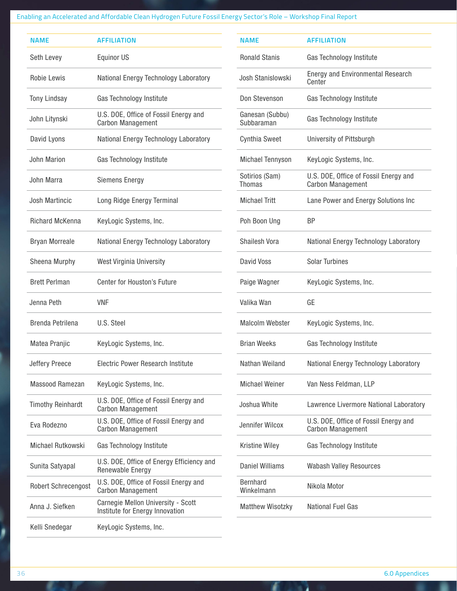Enabling an Accelerated and Affordable Clean Hydrogen Future Fossil Energy Sector's Role – Workshop Final Report

| <b>NAME</b>                | <b>AFFILIATION</b>                                                    |
|----------------------------|-----------------------------------------------------------------------|
| Seth Levey                 | <b>Equinor US</b>                                                     |
| Robie Lewis                | National Energy Technology Laboratory                                 |
| <b>Tony Lindsay</b>        | Gas Technology Institute                                              |
| John Litynski              | U.S. DOE, Office of Fossil Energy and<br>Carbon Management            |
| David Lyons                | National Energy Technology Laboratory                                 |
| John Marion                | Gas Technology Institute                                              |
| John Marra                 | <b>Siemens Energy</b>                                                 |
| <b>Josh Martincic</b>      | Long Ridge Energy Terminal                                            |
| Richard McKenna            | KeyLogic Systems, Inc.                                                |
| <b>Bryan Morreale</b>      | National Energy Technology Laboratory                                 |
| Sheena Murphy              | West Virginia University                                              |
| <b>Brett Perlman</b>       | <b>Center for Houston's Future</b>                                    |
| Jenna Peth                 | <b>VNF</b>                                                            |
| Brenda Petrilena           | U.S. Steel                                                            |
| Matea Pranjic              | KeyLogic Systems, Inc.                                                |
| Jeffery Preece             | Electric Power Research Institute                                     |
| <b>Massood Ramezan</b>     | KeyLogic Systems, Inc.                                                |
| <b>Timothy Reinhardt</b>   | U.S. DOE, Office of Fossil Energy and<br>Carbon Management            |
| Eva Rodezno                | U.S. DOE, Office of Fossil Energy and<br><b>Carbon Management</b>     |
| Michael Rutkowski          | Gas Technology Institute                                              |
| Sunita Satyapal            | U.S. DOE, Office of Energy Efficiency and<br>Renewable Energy         |
| <b>Robert Schrecengost</b> | U.S. DOE, Office of Fossil Energy and<br><b>Carbon Management</b>     |
| Anna J. Siefken            | Carnegie Mellon University - Scott<br>Institute for Energy Innovation |
| Kelli Snedegar             | KeyLogic Systems, Inc.                                                |

| NAME                          | <b>AFFILIATION</b>                                                |
|-------------------------------|-------------------------------------------------------------------|
| <b>Ronald Stanis</b>          | Gas Technology Institute                                          |
| Josh Stanislowski             | <b>Energy and Environmental Research</b><br>Center                |
| Don Stevenson                 | Gas Technology Institute                                          |
| Ganesan (Subbu)<br>Subbaraman | Gas Technology Institute                                          |
| <b>Cynthia Sweet</b>          | University of Pittsburgh                                          |
| <b>Michael Tennyson</b>       | KeyLogic Systems, Inc.                                            |
| Sotirios (Sam)<br>Thomas      | U.S. DOE, Office of Fossil Energy and<br><b>Carbon Management</b> |
| <b>Michael Tritt</b>          | Lane Power and Energy Solutions Inc                               |
| Poh Boon Ung                  | <b>BP</b>                                                         |
| Shailesh Vora                 | National Energy Technology Laboratory                             |
| <b>David Voss</b>             | <b>Solar Turbines</b>                                             |
| Paige Wagner                  | KeyLogic Systems, Inc.                                            |
| Valika Wan                    | GE                                                                |
| <b>Malcolm Webster</b>        | KeyLogic Systems, Inc.                                            |
| <b>Brian Weeks</b>            | Gas Technology Institute                                          |
| Nathan Weiland                | National Energy Technology Laboratory                             |
| <b>Michael Weiner</b>         | Van Ness Feldman, LLP                                             |
| Joshua White                  | Lawrence Livermore National Laboratory                            |
| Jennifer Wilcox               | U.S. DOE, Office of Fossil Energy and<br>Carbon Management        |
|                               |                                                                   |
| <b>Kristine Wiley</b>         | Gas Technology Institute                                          |
| Daniel Williams               | <b>Wabash Valley Resources</b>                                    |
| <b>Bernhard</b><br>Winkelmann | Nikola Motor                                                      |

**ARTICLE AND** 

,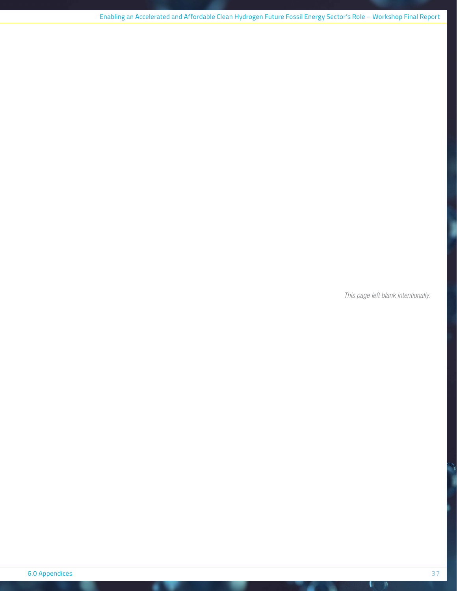*This page left blank intentionally.*

٠

ð